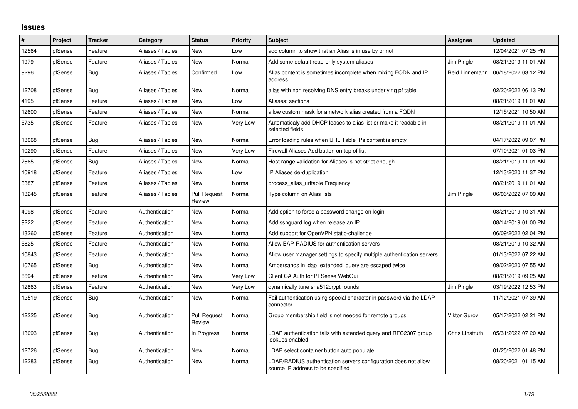## **Issues**

| ∦     | Project | <b>Tracker</b> | Category         | <b>Status</b>                 | <b>Priority</b> | <b>Subject</b>                                                                                       | Assignee        | <b>Updated</b>      |
|-------|---------|----------------|------------------|-------------------------------|-----------------|------------------------------------------------------------------------------------------------------|-----------------|---------------------|
| 12564 | pfSense | Feature        | Aliases / Tables | <b>New</b>                    | Low             | add column to show that an Alias is in use by or not                                                 |                 | 12/04/2021 07:25 PM |
| 1979  | pfSense | Feature        | Aliases / Tables | New                           | Normal          | Add some default read-only system aliases                                                            | Jim Pingle      | 08/21/2019 11:01 AM |
| 9296  | pfSense | Bug            | Aliases / Tables | Confirmed                     | Low             | Alias content is sometimes incomplete when mixing FQDN and IP<br>address                             | Reid Linnemann  | 06/18/2022 03:12 PM |
| 12708 | pfSense | Bug            | Aliases / Tables | New                           | Normal          | alias with non resolving DNS entry breaks underlying pf table                                        |                 | 02/20/2022 06:13 PM |
| 4195  | pfSense | Feature        | Aliases / Tables | <b>New</b>                    | Low             | Aliases: sections                                                                                    |                 | 08/21/2019 11:01 AM |
| 12600 | pfSense | Feature        | Aliases / Tables | New                           | Normal          | allow custom mask for a network alias created from a FQDN                                            |                 | 12/15/2021 10:50 AM |
| 5735  | pfSense | Feature        | Aliases / Tables | New                           | Very Low        | Automaticaly add DHCP leases to alias list or make it readable in<br>selected fields                 |                 | 08/21/2019 11:01 AM |
| 13068 | pfSense | Bug            | Aliases / Tables | <b>New</b>                    | Normal          | Error loading rules when URL Table IPs content is empty                                              |                 | 04/17/2022 09:07 PM |
| 10290 | pfSense | Feature        | Aliases / Tables | <b>New</b>                    | Very Low        | Firewall Aliases Add button on top of list                                                           |                 | 07/10/2021 01:03 PM |
| 7665  | pfSense | Bug            | Aliases / Tables | New                           | Normal          | Host range validation for Aliases is not strict enough                                               |                 | 08/21/2019 11:01 AM |
| 10918 | pfSense | Feature        | Aliases / Tables | <b>New</b>                    | Low             | IP Aliases de-duplication                                                                            |                 | 12/13/2020 11:37 PM |
| 3387  | pfSense | Feature        | Aliases / Tables | <b>New</b>                    | Normal          | process alias uritable Frequency                                                                     |                 | 08/21/2019 11:01 AM |
| 13245 | pfSense | Feature        | Aliases / Tables | <b>Pull Request</b><br>Review | Normal          | Type column on Alias lists                                                                           | Jim Pingle      | 06/06/2022 07:09 AM |
| 4098  | pfSense | Feature        | Authentication   | New                           | Normal          | Add option to force a password change on login                                                       |                 | 08/21/2019 10:31 AM |
| 9222  | pfSense | Feature        | Authentication   | New                           | Normal          | Add sshguard log when release an IP                                                                  |                 | 08/14/2019 01:00 PM |
| 13260 | pfSense | Feature        | Authentication   | New                           | Normal          | Add support for OpenVPN static-challenge                                                             |                 | 06/09/2022 02:04 PM |
| 5825  | pfSense | Feature        | Authentication   | New                           | Normal          | Allow EAP-RADIUS for authentication servers                                                          |                 | 08/21/2019 10:32 AM |
| 10843 | pfSense | Feature        | Authentication   | New                           | Normal          | Allow user manager settings to specify multiple authentication servers                               |                 | 01/13/2022 07:22 AM |
| 10765 | pfSense | Bug            | Authentication   | New                           | Normal          | Ampersands in Idap extended query are escaped twice                                                  |                 | 09/02/2020 07:55 AM |
| 8694  | pfSense | Feature        | Authentication   | New                           | Very Low        | Client CA Auth for PFSense WebGui                                                                    |                 | 08/21/2019 09:25 AM |
| 12863 | pfSense | Feature        | Authentication   | New                           | Very Low        | dynamically tune sha512crypt rounds                                                                  | Jim Pingle      | 03/19/2022 12:53 PM |
| 12519 | pfSense | Bug            | Authentication   | New                           | Normal          | Fail authentication using special character in password via the LDAP<br>connector                    |                 | 11/12/2021 07:39 AM |
| 12225 | pfSense | <b>Bug</b>     | Authentication   | <b>Pull Request</b><br>Review | Normal          | Group membership field is not needed for remote groups                                               | Viktor Gurov    | 05/17/2022 02:21 PM |
| 13093 | pfSense | Bug            | Authentication   | In Progress                   | Normal          | LDAP authentication fails with extended query and RFC2307 group<br>lookups enabled                   | Chris Linstruth | 05/31/2022 07:20 AM |
| 12726 | pfSense | <b>Bug</b>     | Authentication   | <b>New</b>                    | Normal          | LDAP select container button auto populate                                                           |                 | 01/25/2022 01:48 PM |
| 12283 | pfSense | Bug            | Authentication   | <b>New</b>                    | Normal          | LDAP/RADIUS authentication servers configuration does not allow<br>source IP address to be specified |                 | 08/20/2021 01:15 AM |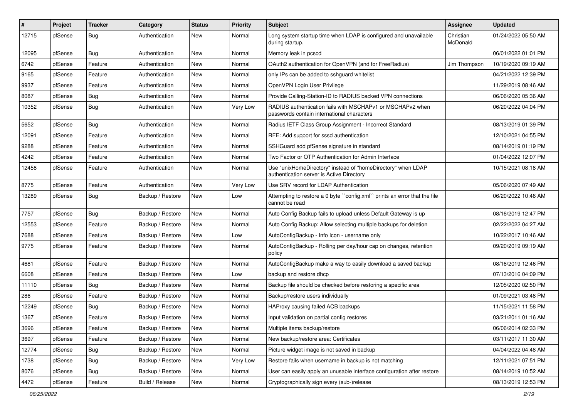| $\vert$ # | Project | Tracker    | Category         | <b>Status</b> | <b>Priority</b> | <b>Subject</b>                                                                                            | <b>Assignee</b>       | <b>Updated</b>      |
|-----------|---------|------------|------------------|---------------|-----------------|-----------------------------------------------------------------------------------------------------------|-----------------------|---------------------|
| 12715     | pfSense | <b>Bug</b> | Authentication   | New           | Normal          | Long system startup time when LDAP is configured and unavailable<br>during startup.                       | Christian<br>McDonald | 01/24/2022 05:50 AM |
| 12095     | pfSense | Bug        | Authentication   | New           | Normal          | Memory leak in pcscd                                                                                      |                       | 06/01/2022 01:01 PM |
| 6742      | pfSense | Feature    | Authentication   | New           | Normal          | OAuth2 authentication for OpenVPN (and for FreeRadius)                                                    | Jim Thompson          | 10/19/2020 09:19 AM |
| 9165      | pfSense | Feature    | Authentication   | New           | Normal          | only IPs can be added to sshguard whitelist                                                               |                       | 04/21/2022 12:39 PM |
| 9937      | pfSense | Feature    | Authentication   | New           | Normal          | OpenVPN Login User Privilege                                                                              |                       | 11/29/2019 08:46 AM |
| 8087      | pfSense | Bug        | Authentication   | New           | Normal          | Provide Calling-Station-ID to RADIUS backed VPN connections                                               |                       | 06/06/2020 05:36 AM |
| 10352     | pfSense | Bug        | Authentication   | New           | Very Low        | RADIUS authentication fails with MSCHAPv1 or MSCHAPv2 when<br>passwords contain international characters  |                       | 06/20/2022 04:04 PM |
| 5652      | pfSense | <b>Bug</b> | Authentication   | New           | Normal          | Radius IETF Class Group Assignment - Incorrect Standard                                                   |                       | 08/13/2019 01:39 PM |
| 12091     | pfSense | Feature    | Authentication   | New           | Normal          | RFE: Add support for sssd authentication                                                                  |                       | 12/10/2021 04:55 PM |
| 9288      | pfSense | Feature    | Authentication   | New           | Normal          | SSHGuard add pfSense signature in standard                                                                |                       | 08/14/2019 01:19 PM |
| 4242      | pfSense | Feature    | Authentication   | New           | Normal          | Two Factor or OTP Authentication for Admin Interface                                                      |                       | 01/04/2022 12:07 PM |
| 12458     | pfSense | Feature    | Authentication   | New           | Normal          | Use "unixHomeDirectory" instead of "homeDirectory" when LDAP<br>authentication server is Active Directory |                       | 10/15/2021 08:18 AM |
| 8775      | pfSense | Feature    | Authentication   | <b>New</b>    | Very Low        | Use SRV record for LDAP Authentication                                                                    |                       | 05/06/2020 07:49 AM |
| 13289     | pfSense | Bug        | Backup / Restore | New           | Low             | Attempting to restore a 0 byte "config.xml" prints an error that the file<br>cannot be read               |                       | 06/20/2022 10:46 AM |
| 7757      | pfSense | Bug        | Backup / Restore | New           | Normal          | Auto Config Backup fails to upload unless Default Gateway is up                                           |                       | 08/16/2019 12:47 PM |
| 12553     | pfSense | Feature    | Backup / Restore | New           | Normal          | Auto Config Backup: Allow selecting multiple backups for deletion                                         |                       | 02/22/2022 04:27 AM |
| 7688      | pfSense | Feature    | Backup / Restore | <b>New</b>    | Low             | AutoConfigBackup - Info Icon - username only                                                              |                       | 10/22/2017 10:46 AM |
| 9775      | pfSense | Feature    | Backup / Restore | New           | Normal          | AutoConfigBackup - Rolling per day/hour cap on changes, retention<br>policy                               |                       | 09/20/2019 09:19 AM |
| 4681      | pfSense | Feature    | Backup / Restore | New           | Normal          | AutoConfigBackup make a way to easily download a saved backup                                             |                       | 08/16/2019 12:46 PM |
| 6608      | pfSense | Feature    | Backup / Restore | New           | Low             | backup and restore dhcp                                                                                   |                       | 07/13/2016 04:09 PM |
| 11110     | pfSense | Bug        | Backup / Restore | <b>New</b>    | Normal          | Backup file should be checked before restoring a specific area                                            |                       | 12/05/2020 02:50 PM |
| 286       | pfSense | Feature    | Backup / Restore | New           | Normal          | Backup/restore users individually                                                                         |                       | 01/09/2021 03:48 PM |
| 12249     | pfSense | Bug        | Backup / Restore | New           | Normal          | HAProxy causing failed ACB backups                                                                        |                       | 11/15/2021 11:58 PM |
| 1367      | pfSense | Feature    | Backup / Restore | New           | Normal          | Input validation on partial config restores                                                               |                       | 03/21/2011 01:16 AM |
| 3696      | ptSense | Feature    | Backup / Restore | New           | Normal          | Multiple items backup/restore                                                                             |                       | 06/06/2014 02:33 PM |
| 3697      | pfSense | Feature    | Backup / Restore | New           | Normal          | New backup/restore area: Certificates                                                                     |                       | 03/11/2017 11:30 AM |
| 12774     | pfSense | Bug        | Backup / Restore | New           | Normal          | Picture widget image is not saved in backup                                                               |                       | 04/04/2022 04:48 AM |
| 1738      | pfSense | <b>Bug</b> | Backup / Restore | New           | Very Low        | Restore fails when username in backup is not matching                                                     |                       | 12/11/2021 07:51 PM |
| 8076      | pfSense | Bug        | Backup / Restore | New           | Normal          | User can easily apply an unusable interface configuration after restore                                   |                       | 08/14/2019 10:52 AM |
| 4472      | pfSense | Feature    | Build / Release  | New           | Normal          | Cryptographically sign every (sub-)release                                                                |                       | 08/13/2019 12:53 PM |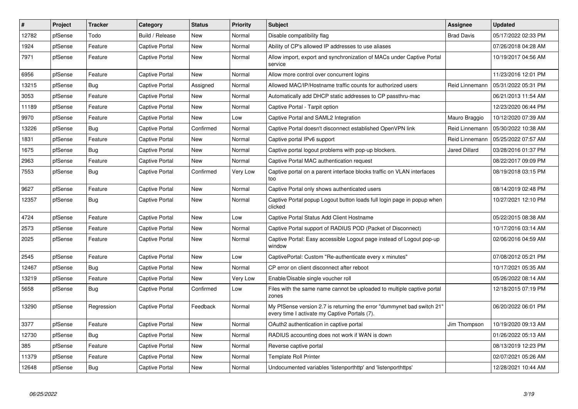| $\vert$ # | Project | Tracker    | Category              | <b>Status</b> | <b>Priority</b> | <b>Subject</b>                                                                                                          | <b>Assignee</b>   | <b>Updated</b>      |
|-----------|---------|------------|-----------------------|---------------|-----------------|-------------------------------------------------------------------------------------------------------------------------|-------------------|---------------------|
| 12782     | pfSense | Todo       | Build / Release       | <b>New</b>    | Normal          | Disable compatibility flag                                                                                              | <b>Brad Davis</b> | 05/17/2022 02:33 PM |
| 1924      | pfSense | Feature    | <b>Captive Portal</b> | New           | Normal          | Ability of CP's allowed IP addresses to use aliases                                                                     |                   | 07/26/2018 04:28 AM |
| 7971      | pfSense | Feature    | Captive Portal        | New           | Normal          | Allow import, export and synchronization of MACs under Captive Portal<br>service                                        |                   | 10/19/2017 04:56 AM |
| 6956      | pfSense | Feature    | <b>Captive Portal</b> | <b>New</b>    | Normal          | Allow more control over concurrent logins                                                                               |                   | 11/23/2016 12:01 PM |
| 13215     | pfSense | <b>Bug</b> | Captive Portal        | Assigned      | Normal          | Allowed MAC/IP/Hostname traffic counts for authorized users                                                             | Reid Linnemann    | 05/31/2022 05:31 PM |
| 3053      | pfSense | Feature    | <b>Captive Portal</b> | New           | Normal          | Automatically add DHCP static addresses to CP passthru-mac                                                              |                   | 06/21/2013 11:54 AM |
| 11189     | pfSense | Feature    | Captive Portal        | New           | Normal          | Captive Portal - Tarpit option                                                                                          |                   | 12/23/2020 06:44 PM |
| 9970      | pfSense | Feature    | Captive Portal        | <b>New</b>    | Low             | Captive Portal and SAML2 Integration                                                                                    | Mauro Braggio     | 10/12/2020 07:39 AM |
| 13226     | pfSense | Bug        | Captive Portal        | Confirmed     | Normal          | Captive Portal doesn't disconnect established OpenVPN link                                                              | Reid Linnemann    | 05/30/2022 10:38 AM |
| 1831      | pfSense | Feature    | Captive Portal        | New           | Normal          | Captive portal IPv6 support                                                                                             | Reid Linnemann    | 05/25/2022 07:57 AM |
| 1675      | pfSense | <b>Bug</b> | Captive Portal        | New           | Normal          | Captive portal logout problems with pop-up blockers.                                                                    | Jared Dillard     | 03/28/2016 01:37 PM |
| 2963      | pfSense | Feature    | Captive Portal        | New           | Normal          | Captive Portal MAC authentication request                                                                               |                   | 08/22/2017 09:09 PM |
| 7553      | pfSense | Bug        | <b>Captive Portal</b> | Confirmed     | Very Low        | Captive portal on a parent interface blocks traffic on VLAN interfaces<br>too                                           |                   | 08/19/2018 03:15 PM |
| 9627      | pfSense | Feature    | <b>Captive Portal</b> | <b>New</b>    | Normal          | Captive Portal only shows authenticated users                                                                           |                   | 08/14/2019 02:48 PM |
| 12357     | pfSense | Bug        | Captive Portal        | New           | Normal          | Captive Portal popup Logout button loads full login page in popup when<br>clicked                                       |                   | 10/27/2021 12:10 PM |
| 4724      | pfSense | Feature    | Captive Portal        | New           | Low             | Captive Portal Status Add Client Hostname                                                                               |                   | 05/22/2015 08:38 AM |
| 2573      | pfSense | Feature    | Captive Portal        | New           | Normal          | Captive Portal support of RADIUS POD (Packet of Disconnect)                                                             |                   | 10/17/2016 03:14 AM |
| 2025      | pfSense | Feature    | Captive Portal        | New           | Normal          | Captive Portal: Easy accessible Logout page instead of Logout pop-up<br>window                                          |                   | 02/06/2016 04:59 AM |
| 2545      | pfSense | Feature    | Captive Portal        | New           | Low             | CaptivePortal: Custom "Re-authenticate every x minutes"                                                                 |                   | 07/08/2012 05:21 PM |
| 12467     | pfSense | Bug        | <b>Captive Portal</b> | <b>New</b>    | Normal          | CP error on client disconnect after reboot                                                                              |                   | 10/17/2021 05:35 AM |
| 13219     | pfSense | Feature    | Captive Portal        | New           | Very Low        | Enable/Disable single voucher roll                                                                                      |                   | 05/26/2022 08:14 AM |
| 5658      | pfSense | <b>Bug</b> | <b>Captive Portal</b> | Confirmed     | Low             | Files with the same name cannot be uploaded to multiple captive portal<br>zones                                         |                   | 12/18/2015 07:19 PM |
| 13290     | pfSense | Regression | <b>Captive Portal</b> | Feedback      | Normal          | My PfSense version 2.7 is returning the error "dummynet bad switch 21"<br>every time I activate my Captive Portals (7). |                   | 06/20/2022 06:01 PM |
| 3377      | pfSense | Feature    | <b>Captive Portal</b> | New           | Normal          | OAuth2 authentication in captive portal                                                                                 | Jim Thompson      | 10/19/2020 09:13 AM |
| 12730     | pfSense | <b>Bug</b> | Captive Portal        | New           | Normal          | RADIUS accounting does not work if WAN is down                                                                          |                   | 01/26/2022 05:13 AM |
| 385       | pfSense | Feature    | Captive Portal        | New           | Normal          | Reverse captive portal                                                                                                  |                   | 08/13/2019 12:23 PM |
| 11379     | pfSense | Feature    | Captive Portal        | New           | Normal          | Template Roll Printer                                                                                                   |                   | 02/07/2021 05:26 AM |
| 12648     | pfSense | <b>Bug</b> | <b>Captive Portal</b> | New           | Normal          | Undocumented variables 'listenporthttp' and 'listenporthttps'                                                           |                   | 12/28/2021 10:44 AM |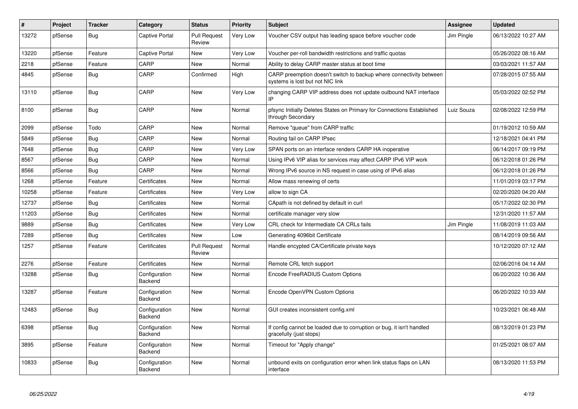| $\#$  | <b>Project</b> | <b>Tracker</b> | Category                        | <b>Status</b>                 | <b>Priority</b> | <b>Subject</b>                                                                                          | Assignee   | <b>Updated</b>      |
|-------|----------------|----------------|---------------------------------|-------------------------------|-----------------|---------------------------------------------------------------------------------------------------------|------------|---------------------|
| 13272 | pfSense        | <b>Bug</b>     | <b>Captive Portal</b>           | <b>Pull Request</b><br>Review | Very Low        | Voucher CSV output has leading space before voucher code                                                | Jim Pingle | 06/13/2022 10:27 AM |
| 13220 | pfSense        | Feature        | <b>Captive Portal</b>           | New                           | Very Low        | Voucher per-roll bandwidth restrictions and traffic quotas                                              |            | 05/26/2022 08:16 AM |
| 2218  | pfSense        | Feature        | CARP                            | <b>New</b>                    | Normal          | Ability to delay CARP master status at boot time                                                        |            | 03/03/2021 11:57 AM |
| 4845  | pfSense        | Bug            | CARP                            | Confirmed                     | High            | CARP preemption doesn't switch to backup where connectivity between<br>systems is lost but not NIC link |            | 07/28/2015 07:55 AM |
| 13110 | pfSense        | <b>Bug</b>     | CARP                            | New                           | Very Low        | changing CARP VIP address does not update outbound NAT interface                                        |            | 05/03/2022 02:52 PM |
| 8100  | pfSense        | Bug            | CARP                            | New                           | Normal          | pfsync Initially Deletes States on Primary for Connections Established<br>through Secondary             | Luiz Souza | 02/08/2022 12:59 PM |
| 2099  | pfSense        | Todo           | CARP                            | <b>New</b>                    | Normal          | Remove "queue" from CARP traffic                                                                        |            | 01/19/2012 10:59 AM |
| 5849  | pfSense        | <b>Bug</b>     | CARP                            | <b>New</b>                    | Normal          | Routing fail on CARP IPsec                                                                              |            | 12/18/2021 04:41 PM |
| 7648  | pfSense        | <b>Bug</b>     | CARP                            | New                           | Very Low        | SPAN ports on an interface renders CARP HA inoperative                                                  |            | 06/14/2017 09:19 PM |
| 8567  | pfSense        | <b>Bug</b>     | CARP                            | <b>New</b>                    | Normal          | Using IPv6 VIP alias for services may affect CARP IPv6 VIP work                                         |            | 06/12/2018 01:26 PM |
| 8566  | pfSense        | Bug            | CARP                            | <b>New</b>                    | Normal          | Wrong IPv6 source in NS request in case using of IPv6 alias                                             |            | 06/12/2018 01:26 PM |
| 1268  | pfSense        | Feature        | Certificates                    | New                           | Normal          | Allow mass renewing of certs                                                                            |            | 11/01/2019 03:17 PM |
| 10258 | pfSense        | Feature        | Certificates                    | <b>New</b>                    | Very Low        | allow to sign CA                                                                                        |            | 02/20/2020 04:20 AM |
| 12737 | pfSense        | Bug            | Certificates                    | <b>New</b>                    | Normal          | CApath is not defined by default in curl                                                                |            | 05/17/2022 02:30 PM |
| 11203 | pfSense        | Bug            | Certificates                    | <b>New</b>                    | Normal          | certificate manager very slow                                                                           |            | 12/31/2020 11:57 AM |
| 9889  | pfSense        | Bug            | Certificates                    | <b>New</b>                    | Very Low        | CRL check for Intermediate CA CRLs fails                                                                | Jim Pingle | 11/08/2019 11:03 AM |
| 7289  | pfSense        | <b>Bug</b>     | Certificates                    | New                           | Low             | Generating 4096bit Certificate                                                                          |            | 08/14/2019 09:56 AM |
| 1257  | pfSense        | Feature        | Certificates                    | <b>Pull Request</b><br>Review | Normal          | Handle encypted CA/Certificate private keys                                                             |            | 10/12/2020 07:12 AM |
| 2276  | pfSense        | Feature        | Certificates                    | <b>New</b>                    | Normal          | Remote CRL fetch support                                                                                |            | 02/06/2016 04:14 AM |
| 13288 | pfSense        | Bug            | Configuration<br>Backend        | <b>New</b>                    | Normal          | Encode FreeRADIUS Custom Options                                                                        |            | 06/20/2022 10:36 AM |
| 13287 | pfSense        | Feature        | Configuration<br>Backend        | <b>New</b>                    | Normal          | Encode OpenVPN Custom Options                                                                           |            | 06/20/2022 10:33 AM |
| 12483 | pfSense        | Bug            | Configuration<br><b>Backend</b> | New                           | Normal          | GUI creates inconsistent config.xml                                                                     |            | 10/23/2021 06:48 AM |
| 6398  | pfSense        | <b>Bug</b>     | Configuration<br>Backend        | <b>New</b>                    | Normal          | If config cannot be loaded due to corruption or bug, it isn't handled<br>gracefully (just stops)        |            | 08/13/2019 01:23 PM |
| 3895  | pfSense        | Feature        | Configuration<br>Backend        | <b>New</b>                    | Normal          | Timeout for "Apply change"                                                                              |            | 01/25/2021 08:07 AM |
| 10833 | pfSense        | <b>Bug</b>     | Configuration<br>Backend        | <b>New</b>                    | Normal          | unbound exits on configuration error when link status flaps on LAN<br>interface                         |            | 08/13/2020 11:53 PM |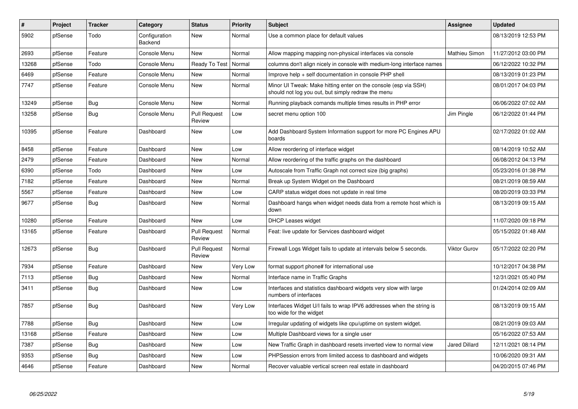| #     | Project | <b>Tracker</b> | Category                 | <b>Status</b>                 | Priority | <b>Subject</b>                                                                                                        | Assignee             | <b>Updated</b>      |
|-------|---------|----------------|--------------------------|-------------------------------|----------|-----------------------------------------------------------------------------------------------------------------------|----------------------|---------------------|
| 5902  | pfSense | Todo           | Configuration<br>Backend | <b>New</b>                    | Normal   | Use a common place for default values                                                                                 |                      | 08/13/2019 12:53 PM |
| 2693  | pfSense | Feature        | Console Menu             | <b>New</b>                    | Normal   | Allow mapping mapping non-physical interfaces via console                                                             | <b>Mathieu Simon</b> | 11/27/2012 03:00 PM |
| 13268 | pfSense | Todo           | Console Menu             | Ready To Test                 | Normal   | columns don't align nicely in console with medium-long interface names                                                |                      | 06/12/2022 10:32 PM |
| 6469  | pfSense | Feature        | Console Menu             | <b>New</b>                    | Normal   | Improve help + self documentation in console PHP shell                                                                |                      | 08/13/2019 01:23 PM |
| 7747  | pfSense | Feature        | Console Menu             | <b>New</b>                    | Normal   | Minor UI Tweak: Make hitting enter on the console (esp via SSH)<br>should not log you out, but simply redraw the menu |                      | 08/01/2017 04:03 PM |
| 13249 | pfSense | <b>Bug</b>     | Console Menu             | <b>New</b>                    | Normal   | Running playback comands multiple times results in PHP error                                                          |                      | 06/06/2022 07:02 AM |
| 13258 | pfSense | Bug            | Console Menu             | <b>Pull Request</b><br>Review | Low      | secret menu option 100                                                                                                | Jim Pingle           | 06/12/2022 01:44 PM |
| 10395 | pfSense | Feature        | Dashboard                | <b>New</b>                    | Low      | Add Dashboard System Information support for more PC Engines APU<br>boards                                            |                      | 02/17/2022 01:02 AM |
| 8458  | pfSense | Feature        | Dashboard                | <b>New</b>                    | Low      | Allow reordering of interface widget                                                                                  |                      | 08/14/2019 10:52 AM |
| 2479  | pfSense | Feature        | Dashboard                | <b>New</b>                    | Normal   | Allow reordering of the traffic graphs on the dashboard                                                               |                      | 06/08/2012 04:13 PM |
| 6390  | pfSense | Todo           | Dashboard                | <b>New</b>                    | Low      | Autoscale from Traffic Graph not correct size (big graphs)                                                            |                      | 05/23/2016 01:38 PM |
| 7182  | pfSense | Feature        | Dashboard                | <b>New</b>                    | Normal   | Break up System Widget on the Dashboard                                                                               |                      | 08/21/2019 08:59 AM |
| 5567  | pfSense | Feature        | Dashboard                | <b>New</b>                    | Low      | CARP status widget does not update in real time                                                                       |                      | 08/20/2019 03:33 PM |
| 9677  | pfSense | Bug            | Dashboard                | <b>New</b>                    | Normal   | Dashboard hangs when widget needs data from a remote host which is<br>down                                            |                      | 08/13/2019 09:15 AM |
| 10280 | pfSense | Feature        | Dashboard                | <b>New</b>                    | Low      | <b>DHCP Leases widget</b>                                                                                             |                      | 11/07/2020 09:18 PM |
| 13165 | pfSense | Feature        | Dashboard                | <b>Pull Request</b><br>Review | Normal   | Feat: live update for Services dashboard widget                                                                       |                      | 05/15/2022 01:48 AM |
| 12673 | pfSense | <b>Bug</b>     | Dashboard                | <b>Pull Request</b><br>Review | Normal   | Firewall Logs Widget fails to update at intervals below 5 seconds.                                                    | Viktor Gurov         | 05/17/2022 02:20 PM |
| 7934  | pfSense | Feature        | Dashboard                | <b>New</b>                    | Very Low | format support phone# for international use                                                                           |                      | 10/12/2017 04:38 PM |
| 7113  | pfSense | <b>Bug</b>     | Dashboard                | <b>New</b>                    | Normal   | Interface name in Traffic Graphs                                                                                      |                      | 12/31/2021 05:40 PM |
| 3411  | pfSense | Bug            | Dashboard                | <b>New</b>                    | Low      | Interfaces and statistics dashboard widgets very slow with large<br>numbers of interfaces                             |                      | 01/24/2014 02:09 AM |
| 7857  | pfSense | <b>Bug</b>     | Dashboard                | <b>New</b>                    | Very Low | Interfaces Widget U/I fails to wrap IPV6 addresses when the string is<br>too wide for the widget                      |                      | 08/13/2019 09:15 AM |
| 7788  | pfSense | <b>Bug</b>     | Dashboard                | <b>New</b>                    | Low      | Irregular updating of widgets like cpu/uptime on system widget.                                                       |                      | 08/21/2019 09:03 AM |
| 13168 | pfSense | Feature        | Dashboard                | <b>New</b>                    | Low      | Multiple Dashboard views for a single user                                                                            |                      | 05/16/2022 07:53 AM |
| 7387  | pfSense | <b>Bug</b>     | Dashboard                | <b>New</b>                    | Low      | New Traffic Graph in dashboard resets inverted view to normal view                                                    | Jared Dillard        | 12/11/2021 08:14 PM |
| 9353  | pfSense | Bug            | Dashboard                | <b>New</b>                    | Low      | PHPSession errors from limited access to dashboard and widgets                                                        |                      | 10/06/2020 09:31 AM |
| 4646  | pfSense | Feature        | Dashboard                | <b>New</b>                    | Normal   | Recover valuable vertical screen real estate in dashboard                                                             |                      | 04/20/2015 07:46 PM |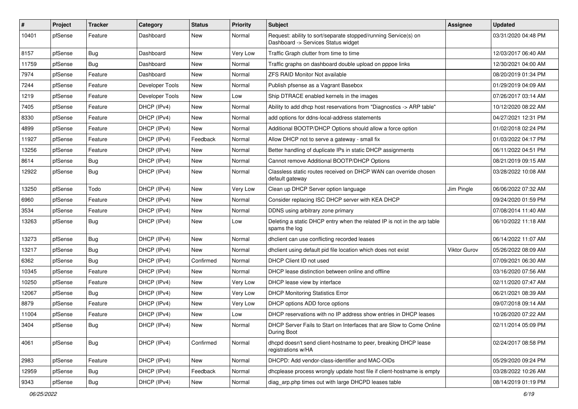| $\#$  | Project | <b>Tracker</b> | Category        | <b>Status</b> | <b>Priority</b> | <b>Subject</b>                                                                                         | Assignee            | <b>Updated</b>      |
|-------|---------|----------------|-----------------|---------------|-----------------|--------------------------------------------------------------------------------------------------------|---------------------|---------------------|
| 10401 | pfSense | Feature        | Dashboard       | <b>New</b>    | Normal          | Request: ability to sort/separate stopped/running Service(s) on<br>Dashboard -> Services Status widget |                     | 03/31/2020 04:48 PM |
| 8157  | pfSense | Bug            | Dashboard       | <b>New</b>    | Very Low        | Traffic Graph clutter from time to time                                                                |                     | 12/03/2017 06:40 AM |
| 11759 | pfSense | Bug            | Dashboard       | New           | Normal          | Traffic graphs on dashboard double upload on pppoe links                                               |                     | 12/30/2021 04:00 AM |
| 7974  | pfSense | Feature        | Dashboard       | <b>New</b>    | Normal          | ZFS RAID Monitor Not available                                                                         |                     | 08/20/2019 01:34 PM |
| 7244  | pfSense | Feature        | Developer Tools | New           | Normal          | Publish pfsense as a Vagrant Basebox                                                                   |                     | 01/29/2019 04:09 AM |
| 1219  | pfSense | Feature        | Developer Tools | <b>New</b>    | Low             | Ship DTRACE enabled kernels in the images                                                              |                     | 07/26/2017 03:14 AM |
| 7405  | pfSense | Feature        | DHCP (IPv4)     | New           | Normal          | Ability to add dhcp host reservations from "Diagnostics -> ARP table"                                  |                     | 10/12/2020 08:22 AM |
| 8330  | pfSense | Feature        | DHCP (IPv4)     | <b>New</b>    | Normal          | add options for ddns-local-address statements                                                          |                     | 04/27/2021 12:31 PM |
| 4899  | pfSense | Feature        | DHCP (IPv4)     | <b>New</b>    | Normal          | Additional BOOTP/DHCP Options should allow a force option                                              |                     | 01/02/2018 02:24 PM |
| 11927 | pfSense | Feature        | DHCP (IPv4)     | Feedback      | Normal          | Allow DHCP not to serve a gateway - small fix                                                          |                     | 01/03/2022 04:17 PM |
| 13256 | pfSense | Feature        | DHCP (IPv4)     | New           | Normal          | Better handling of duplicate IPs in static DHCP assignments                                            |                     | 06/11/2022 04:51 PM |
| 8614  | pfSense | Bug            | DHCP (IPv4)     | <b>New</b>    | Normal          | Cannot remove Additional BOOTP/DHCP Options                                                            |                     | 08/21/2019 09:15 AM |
| 12922 | pfSense | Bug            | DHCP (IPv4)     | New           | Normal          | Classless static routes received on DHCP WAN can override chosen<br>default gateway                    |                     | 03/28/2022 10:08 AM |
| 13250 | pfSense | Todo           | DHCP (IPv4)     | <b>New</b>    | Very Low        | Clean up DHCP Server option language                                                                   | Jim Pingle          | 06/06/2022 07:32 AM |
| 6960  | pfSense | Feature        | DHCP (IPv4)     | <b>New</b>    | Normal          | Consider replacing ISC DHCP server with KEA DHCP                                                       |                     | 09/24/2020 01:59 PM |
| 3534  | pfSense | Feature        | DHCP (IPv4)     | <b>New</b>    | Normal          | DDNS using arbitrary zone primary                                                                      |                     | 07/08/2014 11:40 AM |
| 13263 | pfSense | Bug            | DHCP (IPv4)     | <b>New</b>    | Low             | Deleting a static DHCP entry when the related IP is not in the arp table<br>spams the log              |                     | 06/10/2022 11:18 AM |
| 13273 | pfSense | Bug            | DHCP (IPv4)     | <b>New</b>    | Normal          | dhclient can use conflicting recorded leases                                                           |                     | 06/14/2022 11:07 AM |
| 13217 | pfSense | Bug            | DHCP (IPv4)     | New           | Normal          | dhclient using default pid file location which does not exist                                          | <b>Viktor Gurov</b> | 05/26/2022 08:09 AM |
| 6362  | pfSense | Bug            | DHCP (IPv4)     | Confirmed     | Normal          | DHCP Client ID not used                                                                                |                     | 07/09/2021 06:30 AM |
| 10345 | pfSense | Feature        | DHCP (IPv4)     | New           | Normal          | DHCP lease distinction between online and offline                                                      |                     | 03/16/2020 07:56 AM |
| 10250 | pfSense | Feature        | DHCP (IPv4)     | <b>New</b>    | <b>Very Low</b> | DHCP lease view by interface                                                                           |                     | 02/11/2020 07:47 AM |
| 12067 | pfSense | Bug            | DHCP (IPv4)     | <b>New</b>    | Very Low        | <b>DHCP Monitoring Statistics Error</b>                                                                |                     | 06/21/2021 08:39 AM |
| 8879  | pfSense | Feature        | DHCP (IPv4)     | New           | Very Low        | DHCP options ADD force options                                                                         |                     | 09/07/2018 09:14 AM |
| 11004 | pfSense | Feature        | DHCP (IPv4)     | <b>New</b>    | Low             | DHCP reservations with no IP address show entries in DHCP leases                                       |                     | 10/26/2020 07:22 AM |
| 3404  | pfSense | Bug            | DHCP (IPv4)     | New           | Normal          | DHCP Server Fails to Start on Interfaces that are Slow to Come Online<br>During Boot                   |                     | 02/11/2014 05:09 PM |
| 4061  | pfSense | Bug            | DHCP (IPv4)     | Confirmed     | Normal          | dhcpd doesn't send client-hostname to peer, breaking DHCP lease<br>registrations w/HA                  |                     | 02/24/2017 08:58 PM |
| 2983  | pfSense | Feature        | DHCP (IPv4)     | New           | Normal          | DHCPD: Add vendor-class-identifier and MAC-OIDs                                                        |                     | 05/29/2020 09:24 PM |
| 12959 | pfSense | <b>Bug</b>     | DHCP (IPv4)     | Feedback      | Normal          | dhcplease process wrongly update host file if client-hostname is empty                                 |                     | 03/28/2022 10:26 AM |
| 9343  | pfSense | Bug            | DHCP (IPv4)     | New           | Normal          | diag arp.php times out with large DHCPD leases table                                                   |                     | 08/14/2019 01:19 PM |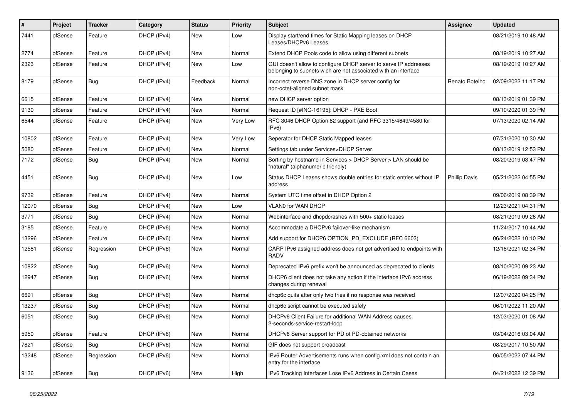| $\vert$ # | Project | <b>Tracker</b> | Category    | <b>Status</b> | <b>Priority</b> | <b>Subject</b>                                                                                                                     | <b>Assignee</b>      | <b>Updated</b>      |
|-----------|---------|----------------|-------------|---------------|-----------------|------------------------------------------------------------------------------------------------------------------------------------|----------------------|---------------------|
| 7441      | pfSense | Feature        | DHCP (IPv4) | New           | Low             | Display start/end times for Static Mapping leases on DHCP<br>Leases/DHCPv6 Leases                                                  |                      | 08/21/2019 10:48 AM |
| 2774      | pfSense | Feature        | DHCP (IPv4) | New           | Normal          | Extend DHCP Pools code to allow using different subnets                                                                            |                      | 08/19/2019 10:27 AM |
| 2323      | pfSense | Feature        | DHCP (IPv4) | New           | Low             | GUI doesn't allow to configure DHCP server to serve IP addresses<br>belonging to subnets wich are not associated with an interface |                      | 08/19/2019 10:27 AM |
| 8179      | pfSense | <b>Bug</b>     | DHCP (IPv4) | Feedback      | Normal          | Incorrect reverse DNS zone in DHCP server config for<br>non-octet-aligned subnet mask                                              | Renato Botelho       | 02/09/2022 11:17 PM |
| 6615      | pfSense | Feature        | DHCP (IPv4) | New           | Normal          | new DHCP server option                                                                                                             |                      | 08/13/2019 01:39 PM |
| 9130      | pfSense | Feature        | DHCP (IPv4) | New           | Normal          | Request ID [#INC-16195]: DHCP - PXE Boot                                                                                           |                      | 09/10/2020 01:39 PM |
| 6544      | pfSense | Feature        | DHCP (IPv4) | New           | Very Low        | RFC 3046 DHCP Option 82 support (and RFC 3315/4649/4580 for<br>IPv6)                                                               |                      | 07/13/2020 02:14 AM |
| 10802     | pfSense | Feature        | DHCP (IPv4) | New           | Very Low        | Seperator for DHCP Static Mapped leases                                                                                            |                      | 07/31/2020 10:30 AM |
| 5080      | pfSense | Feature        | DHCP (IPv4) | New           | Normal          | Settings tab under Services>DHCP Server                                                                                            |                      | 08/13/2019 12:53 PM |
| 7172      | pfSense | Bug            | DHCP (IPv4) | New           | Normal          | Sorting by hostname in Services > DHCP Server > LAN should be<br>"natural" (alphanumeric friendly)                                 |                      | 08/20/2019 03:47 PM |
| 4451      | pfSense | Bug            | DHCP (IPv4) | New           | Low             | Status DHCP Leases shows double entries for static entries without IP<br>address                                                   | <b>Phillip Davis</b> | 05/21/2022 04:55 PM |
| 9732      | pfSense | Feature        | DHCP (IPv4) | New           | Normal          | System UTC time offset in DHCP Option 2                                                                                            |                      | 09/06/2019 08:39 PM |
| 12070     | pfSense | Bug            | DHCP (IPv4) | New           | Low             | <b>VLAN0 for WAN DHCP</b>                                                                                                          |                      | 12/23/2021 04:31 PM |
| 3771      | pfSense | Bug            | DHCP (IPv4) | New           | Normal          | Webinterface and dhcpdcrashes with 500+ static leases                                                                              |                      | 08/21/2019 09:26 AM |
| 3185      | pfSense | Feature        | DHCP (IPv6) | New           | Normal          | Accommodate a DHCPv6 failover-like mechanism                                                                                       |                      | 11/24/2017 10:44 AM |
| 13296     | pfSense | Feature        | DHCP (IPv6) | New           | Normal          | Add support for DHCP6 OPTION_PD_EXCLUDE (RFC 6603)                                                                                 |                      | 06/24/2022 10:10 PM |
| 12581     | pfSense | Regression     | DHCP (IPv6) | New           | Normal          | CARP IPv6 assigned address does not get advertised to endpoints with<br><b>RADV</b>                                                |                      | 12/16/2021 02:34 PM |
| 10822     | pfSense | Bug            | DHCP (IPv6) | New           | Normal          | Deprecated IPv6 prefix won't be announced as deprecated to clients                                                                 |                      | 08/10/2020 09:23 AM |
| 12947     | pfSense | Bug            | DHCP (IPv6) | New           | Normal          | DHCP6 client does not take any action if the interface IPv6 address<br>changes during renewal                                      |                      | 06/19/2022 09:34 PM |
| 6691      | pfSense | Bug            | DHCP (IPv6) | New           | Normal          | dhcp6c quits after only two tries if no response was received                                                                      |                      | 12/07/2020 04:25 PM |
| 13237     | pfSense | Bug            | DHCP (IPv6) | New           | Normal          | dhcp6c script cannot be executed safely                                                                                            |                      | 06/01/2022 11:20 AM |
| 6051      | pfSense | Bug            | DHCP (IPv6) | New           | Normal          | DHCPv6 Client Failure for additional WAN Address causes<br>2-seconds-service-restart-loop                                          |                      | 12/03/2020 01:08 AM |
| 5950      | pfSense | Feature        | DHCP (IPv6) | New           | Normal          | DHCPv6 Server support for PD of PD-obtained networks                                                                               |                      | 03/04/2016 03:04 AM |
| 7821      | pfSense | <b>Bug</b>     | DHCP (IPv6) | New           | Normal          | GIF does not support broadcast                                                                                                     |                      | 08/29/2017 10:50 AM |
| 13248     | pfSense | Regression     | DHCP (IPv6) | New           | Normal          | IPv6 Router Advertisements runs when config.xml does not contain an<br>entry for the interface                                     |                      | 06/05/2022 07:44 PM |
| 9136      | pfSense | Bug            | DHCP (IPv6) | New           | High            | IPv6 Tracking Interfaces Lose IPv6 Address in Certain Cases                                                                        |                      | 04/21/2022 12:39 PM |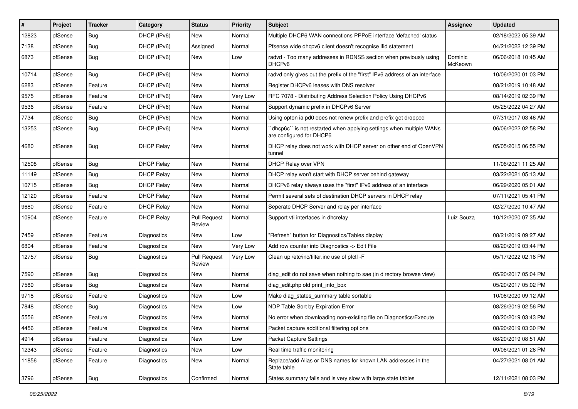| #     | Project | <b>Tracker</b> | Category           | <b>Status</b>                 | <b>Priority</b> | Subject                                                                                        | <b>Assignee</b>    | <b>Updated</b>      |
|-------|---------|----------------|--------------------|-------------------------------|-----------------|------------------------------------------------------------------------------------------------|--------------------|---------------------|
| 12823 | pfSense | Bug            | DHCP (IPv6)        | New                           | Normal          | Multiple DHCP6 WAN connections PPPoE interface 'defached' status                               |                    | 02/18/2022 05:39 AM |
| 7138  | pfSense | Bug            | DHCP (IPv6)        | Assigned                      | Normal          | Pfsense wide dhcpv6 client doesn't recognise ifid statement                                    |                    | 04/21/2022 12:39 PM |
| 6873  | pfSense | Bug            | DHCP (IPv6)        | <b>New</b>                    | Low             | radvd - Too many addresses in RDNSS section when previously using<br>DHCP <sub>v6</sub>        | Dominic<br>McKeown | 06/06/2018 10:45 AM |
| 10714 | pfSense | Bug            | DHCP (IPv6)        | <b>New</b>                    | Normal          | radvd only gives out the prefix of the "first" IPv6 address of an interface                    |                    | 10/06/2020 01:03 PM |
| 6283  | pfSense | Feature        | DHCP (IPv6)        | <b>New</b>                    | Normal          | Register DHCPv6 leases with DNS resolver                                                       |                    | 08/21/2019 10:48 AM |
| 9575  | pfSense | Feature        | DHCP (IPv6)        | New                           | Very Low        | RFC 7078 - Distributing Address Selection Policy Using DHCPv6                                  |                    | 08/14/2019 02:39 PM |
| 9536  | pfSense | Feature        | DHCP (IPv6)        | <b>New</b>                    | Normal          | Support dynamic prefix in DHCPv6 Server                                                        |                    | 05/25/2022 04:27 AM |
| 7734  | pfSense | Bug            | DHCP (IPv6)        | <b>New</b>                    | Normal          | Using opton ia pd0 does not renew prefix and prefix get dropped                                |                    | 07/31/2017 03:46 AM |
| 13253 | pfSense | Bug            | DHCP (IPv6)        | <b>New</b>                    | Normal          | dhcp6c" is not restarted when applying settings when multiple WANs<br>are configured for DHCP6 |                    | 06/06/2022 02:58 PM |
| 4680  | pfSense | Bug            | <b>DHCP Relay</b>  | <b>New</b>                    | Normal          | DHCP relay does not work with DHCP server on other end of OpenVPN<br>tunnel                    |                    | 05/05/2015 06:55 PM |
| 12508 | pfSense | Bug            | <b>DHCP Relay</b>  | <b>New</b>                    | Normal          | DHCP Relay over VPN                                                                            |                    | 11/06/2021 11:25 AM |
| 11149 | pfSense | Bug            | <b>DHCP Relay</b>  | <b>New</b>                    | Normal          | DHCP relay won't start with DHCP server behind gateway                                         |                    | 03/22/2021 05:13 AM |
| 10715 | pfSense | Bug            | <b>DHCP Relay</b>  | <b>New</b>                    | Normal          | DHCPv6 relay always uses the "first" IPv6 address of an interface                              |                    | 06/29/2020 05:01 AM |
| 12120 | pfSense | Feature        | <b>DHCP Relay</b>  | New                           | Normal          | Permit several sets of destination DHCP servers in DHCP relay                                  |                    | 07/11/2021 05:41 PM |
| 9680  | pfSense | Feature        | <b>DHCP Relay</b>  | <b>New</b>                    | Normal          | Seperate DHCP Server and relay per interface                                                   |                    | 02/27/2020 10:47 AM |
| 10904 | pfSense | Feature        | <b>DHCP Relay</b>  | <b>Pull Request</b><br>Review | Normal          | Support vti interfaces in dhcrelay                                                             | Luiz Souza         | 10/12/2020 07:35 AM |
| 7459  | pfSense | Feature        | Diagnostics        | <b>New</b>                    | Low             | "Refresh" button for Diagnostics/Tables display                                                |                    | 08/21/2019 09:27 AM |
| 6804  | pfSense | Feature        | Diagnostics        | New                           | Very Low        | Add row counter into Diagnostics -> Edit File                                                  |                    | 08/20/2019 03:44 PM |
| 12757 | pfSense | Bug            | Diagnostics        | <b>Pull Request</b><br>Review | <b>Very Low</b> | Clean up /etc/inc/filter.inc use of pfctl -F                                                   |                    | 05/17/2022 02:18 PM |
| 7590  | pfSense | Bug            | Diagnostics        | New                           | Normal          | diag_edit do not save when nothing to sae (in directory browse view)                           |                    | 05/20/2017 05:04 PM |
| 7589  | pfSense | Bug            | Diagnostics        | <b>New</b>                    | Normal          | diag_edit.php old print_info_box                                                               |                    | 05/20/2017 05:02 PM |
| 9718  | pfSense | Feature        | <b>Diagnostics</b> | New                           | Low             | Make diag_states_summary table sortable                                                        |                    | 10/06/2020 09:12 AM |
| 7848  | pfSense | Bug            | Diagnostics        | <b>New</b>                    | Low             | NDP Table Sort by Expiration Error                                                             |                    | 08/26/2019 02:56 PM |
| 5556  | pfSense | Feature        | Diagnostics        | <b>New</b>                    | Normal          | No error when downloading non-existing file on Diagnostics/Execute                             |                    | 08/20/2019 03:43 PM |
| 4456  | pfSense | Feature        | Diagnostics        | New                           | Normal          | Packet capture additional filtering options                                                    |                    | 08/20/2019 03:30 PM |
| 4914  | pfSense | Feature        | Diagnostics        | New                           | Low             | <b>Packet Capture Settings</b>                                                                 |                    | 08/20/2019 08:51 AM |
| 12343 | pfSense | Feature        | Diagnostics        | New                           | Low             | Real time traffic monitoring                                                                   |                    | 09/06/2021 01:26 PM |
| 11856 | pfSense | Feature        | Diagnostics        | New                           | Normal          | Replace/add Alias or DNS names for known LAN addresses in the<br>State table                   |                    | 04/27/2021 08:01 AM |
| 3796  | pfSense | <b>Bug</b>     | Diagnostics        | Confirmed                     | Normal          | States summary fails and is very slow with large state tables                                  |                    | 12/11/2021 08:03 PM |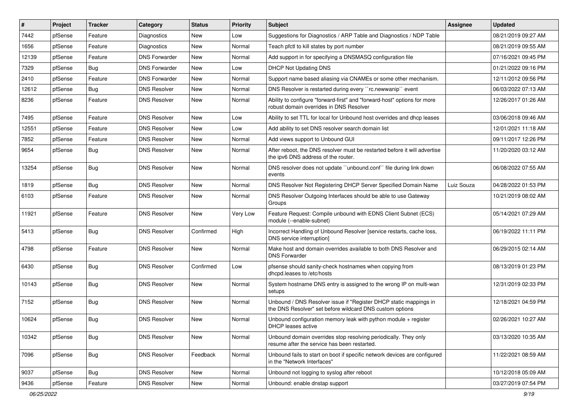| #     | Project | <b>Tracker</b> | Category             | <b>Status</b> | <b>Priority</b> | Subject                                                                                                                       | <b>Assignee</b> | <b>Updated</b>      |
|-------|---------|----------------|----------------------|---------------|-----------------|-------------------------------------------------------------------------------------------------------------------------------|-----------------|---------------------|
| 7442  | pfSense | Feature        | Diagnostics          | New           | Low             | Suggestions for Diagnostics / ARP Table and Diagnostics / NDP Table                                                           |                 | 08/21/2019 09:27 AM |
| 1656  | pfSense | Feature        | Diagnostics          | New           | Normal          | Teach pfctl to kill states by port number                                                                                     |                 | 08/21/2019 09:55 AM |
| 12139 | pfSense | Feature        | <b>DNS Forwarder</b> | New           | Normal          | Add support in for specifying a DNSMASQ configuration file                                                                    |                 | 07/16/2021 09:45 PM |
| 7329  | pfSense | <b>Bug</b>     | <b>DNS Forwarder</b> | New           | Low             | <b>DHCP Not Updating DNS</b>                                                                                                  |                 | 01/21/2022 09:16 PM |
| 2410  | pfSense | Feature        | <b>DNS Forwarder</b> | New           | Normal          | Support name based aliasing via CNAMEs or some other mechanism.                                                               |                 | 12/11/2012 09:56 PM |
| 12612 | pfSense | Bug            | <b>DNS Resolver</b>  | New           | Normal          | DNS Resolver is restarted during every "rc.newwanip" event                                                                    |                 | 06/03/2022 07:13 AM |
| 8236  | pfSense | Feature        | <b>DNS Resolver</b>  | New           | Normal          | Ability to configure "forward-first" and "forward-host" options for more<br>robust domain overrides in DNS Resolver           |                 | 12/26/2017 01:26 AM |
| 7495  | pfSense | Feature        | <b>DNS Resolver</b>  | New           | Low             | Ability to set TTL for local for Unbound host overrides and dhcp leases                                                       |                 | 03/06/2018 09:46 AM |
| 12551 | pfSense | Feature        | <b>DNS Resolver</b>  | New           | Low             | Add ability to set DNS resolver search domain list                                                                            |                 | 12/01/2021 11:18 AM |
| 7852  | pfSense | Feature        | <b>DNS Resolver</b>  | New           | Normal          | Add views support to Unbound GUI                                                                                              |                 | 09/11/2017 12:26 PM |
| 9654  | pfSense | Bug            | <b>DNS Resolver</b>  | New           | Normal          | After reboot, the DNS resolver must be restarted before it will advertise<br>the ipv6 DNS address of the router.              |                 | 11/20/2020 03:12 AM |
| 13254 | pfSense | Bug            | <b>DNS Resolver</b>  | New           | Normal          | DNS resolver does not update "unbound.conf" file during link down<br>events                                                   |                 | 06/08/2022 07:55 AM |
| 1819  | pfSense | <b>Bug</b>     | <b>DNS Resolver</b>  | <b>New</b>    | Normal          | DNS Resolver Not Registering DHCP Server Specified Domain Name                                                                | Luiz Souza      | 04/28/2022 01:53 PM |
| 6103  | pfSense | Feature        | <b>DNS Resolver</b>  | New           | Normal          | DNS Resolver Outgoing Interfaces should be able to use Gateway<br>Groups                                                      |                 | 10/21/2019 08:02 AM |
| 11921 | pfSense | Feature        | <b>DNS Resolver</b>  | <b>New</b>    | Very Low        | Feature Request: Compile unbound with EDNS Client Subnet (ECS)<br>module (--enable-subnet)                                    |                 | 05/14/2021 07:29 AM |
| 5413  | pfSense | Bug            | <b>DNS Resolver</b>  | Confirmed     | High            | Incorrect Handling of Unbound Resolver [service restarts, cache loss,<br>DNS service interruption]                            |                 | 06/19/2022 11:11 PM |
| 4798  | pfSense | Feature        | <b>DNS Resolver</b>  | New           | Normal          | Make host and domain overrides available to both DNS Resolver and<br><b>DNS Forwarder</b>                                     |                 | 06/29/2015 02:14 AM |
| 6430  | pfSense | <b>Bug</b>     | <b>DNS Resolver</b>  | Confirmed     | Low             | pfsense should sanity-check hostnames when copying from<br>dhcpd.leases to /etc/hosts                                         |                 | 08/13/2019 01:23 PM |
| 10143 | pfSense | <b>Bug</b>     | <b>DNS Resolver</b>  | <b>New</b>    | Normal          | System hostname DNS entry is assigned to the wrong IP on multi-wan<br>setups                                                  |                 | 12/31/2019 02:33 PM |
| 7152  | pfSense | <b>Bug</b>     | <b>DNS Resolver</b>  | New           | Normal          | Unbound / DNS Resolver issue if "Register DHCP static mappings in<br>the DNS Resolver" set before wildcard DNS custom options |                 | 12/18/2021 04:59 PM |
| 10624 | pfSense | <b>Bug</b>     | <b>DNS Resolver</b>  | New           | Normal          | Unbound configuration memory leak with python module $+$ register<br>DHCP leases active                                       |                 | 02/26/2021 10:27 AM |
| 10342 | pfSense | <b>Bug</b>     | <b>DNS Resolver</b>  | New           | Normal          | Unbound domain overrides stop resolving periodically. They only<br>resume after the service has been restarted.               |                 | 03/13/2020 10:35 AM |
| 7096  | pfSense | <b>Bug</b>     | <b>DNS Resolver</b>  | Feedback      | Normal          | Unbound fails to start on boot if specific network devices are configured<br>in the "Network Interfaces"                      |                 | 11/22/2021 08:59 AM |
| 9037  | pfSense | <b>Bug</b>     | <b>DNS Resolver</b>  | New           | Normal          | Unbound not logging to syslog after reboot                                                                                    |                 | 10/12/2018 05:09 AM |
| 9436  | pfSense | Feature        | <b>DNS Resolver</b>  | New           | Normal          | Unbound: enable dnstap support                                                                                                |                 | 03/27/2019 07:54 PM |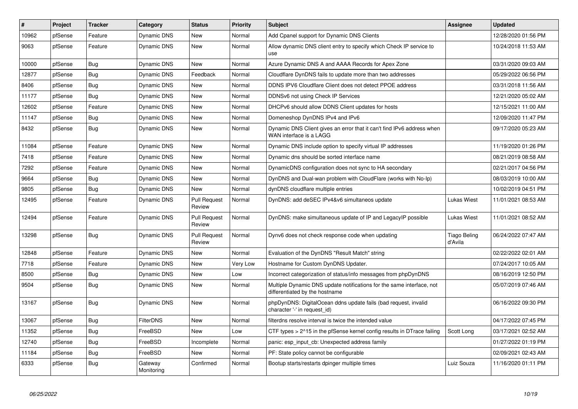| $\vert$ # | Project | <b>Tracker</b> | Category              | <b>Status</b>                 | <b>Priority</b> | <b>Subject</b>                                                                                          | <b>Assignee</b>         | <b>Updated</b>      |
|-----------|---------|----------------|-----------------------|-------------------------------|-----------------|---------------------------------------------------------------------------------------------------------|-------------------------|---------------------|
| 10962     | pfSense | Feature        | <b>Dynamic DNS</b>    | <b>New</b>                    | Normal          | Add Cpanel support for Dynamic DNS Clients                                                              |                         | 12/28/2020 01:56 PM |
| 9063      | pfSense | Feature        | Dynamic DNS           | New                           | Normal          | Allow dynamic DNS client entry to specify which Check IP service to<br>use                              |                         | 10/24/2018 11:53 AM |
| 10000     | pfSense | <b>Bug</b>     | <b>Dynamic DNS</b>    | <b>New</b>                    | Normal          | Azure Dynamic DNS A and AAAA Records for Apex Zone                                                      |                         | 03/31/2020 09:03 AM |
| 12877     | pfSense | Bug            | Dynamic DNS           | Feedback                      | Normal          | Cloudflare DynDNS fails to update more than two addresses                                               |                         | 05/29/2022 06:56 PM |
| 8406      | pfSense | Bug            | <b>Dynamic DNS</b>    | <b>New</b>                    | Normal          | DDNS IPV6 Cloudflare Client does not detect PPOE address                                                |                         | 03/31/2018 11:56 AM |
| 11177     | pfSense | <b>Bug</b>     | <b>Dynamic DNS</b>    | <b>New</b>                    | Normal          | DDNSv6 not using Check IP Services                                                                      |                         | 12/21/2020 05:02 AM |
| 12602     | pfSense | Feature        | Dynamic DNS           | <b>New</b>                    | Normal          | DHCPv6 should allow DDNS Client updates for hosts                                                       |                         | 12/15/2021 11:00 AM |
| 11147     | pfSense | Bug            | <b>Dynamic DNS</b>    | <b>New</b>                    | Normal          | Domeneshop DynDNS IPv4 and IPv6                                                                         |                         | 12/09/2020 11:47 PM |
| 8432      | pfSense | <b>Bug</b>     | <b>Dynamic DNS</b>    | New                           | Normal          | Dynamic DNS Client gives an error that it can't find IPv6 address when<br>WAN interface is a LAGG       |                         | 09/17/2020 05:23 AM |
| 11084     | pfSense | Feature        | <b>Dynamic DNS</b>    | <b>New</b>                    | Normal          | Dynamic DNS include option to specify virtual IP addresses                                              |                         | 11/19/2020 01:26 PM |
| 7418      | pfSense | Feature        | Dynamic DNS           | <b>New</b>                    | Normal          | Dynamic dns should be sorted interface name                                                             |                         | 08/21/2019 08:58 AM |
| 7292      | pfSense | Feature        | <b>Dynamic DNS</b>    | <b>New</b>                    | Normal          | DynamicDNS configuration does not sync to HA secondary                                                  |                         | 02/21/2017 04:56 PM |
| 9664      | pfSense | Bug            | <b>Dynamic DNS</b>    | <b>New</b>                    | Normal          | DynDNS and Dual-wan problem with CloudFlare (works with No-Ip)                                          |                         | 08/03/2019 10:00 AM |
| 9805      | pfSense | Bug            | <b>Dynamic DNS</b>    | <b>New</b>                    | Normal          | dynDNS cloudflare multiple entries                                                                      |                         | 10/02/2019 04:51 PM |
| 12495     | pfSense | Feature        | Dynamic DNS           | <b>Pull Request</b><br>Review | Normal          | DynDNS: add deSEC IPv4&v6 simultaneos update                                                            | Lukas Wiest             | 11/01/2021 08:53 AM |
| 12494     | pfSense | Feature        | <b>Dynamic DNS</b>    | <b>Pull Request</b><br>Review | Normal          | DynDNS: make simultaneous update of IP and LegacyIP possible                                            | Lukas Wiest             | 11/01/2021 08:52 AM |
| 13298     | pfSense | <b>Bug</b>     | <b>Dynamic DNS</b>    | <b>Pull Request</b><br>Review | Normal          | Dynv6 does not check response code when updating                                                        | Tiago Beling<br>d'Avila | 06/24/2022 07:47 AM |
| 12848     | pfSense | Feature        | Dynamic DNS           | <b>New</b>                    | Normal          | Evaluation of the DynDNS "Result Match" string                                                          |                         | 02/22/2022 02:01 AM |
| 7718      | pfSense | Feature        | Dynamic DNS           | <b>New</b>                    | Very Low        | Hostname for Custom DynDNS Updater.                                                                     |                         | 07/24/2017 10:05 AM |
| 8500      | pfSense | <b>Bug</b>     | Dynamic DNS           | New                           | Low             | Incorrect categorization of status/info messages from phpDynDNS                                         |                         | 08/16/2019 12:50 PM |
| 9504      | pfSense | <b>Bug</b>     | Dynamic DNS           | New                           | Normal          | Multiple Dynamic DNS update notifications for the same interface, not<br>differentiated by the hostname |                         | 05/07/2019 07:46 AM |
| 13167     | pfSense | Bug            | <b>Dynamic DNS</b>    | <b>New</b>                    | Normal          | phpDynDNS: DigitalOcean ddns update fails (bad request, invalid<br>character '-' in request id)         |                         | 06/16/2022 09:30 PM |
| 13067     | pfSense | <b>Bug</b>     | <b>FilterDNS</b>      | <b>New</b>                    | Normal          | filterdns resolve interval is twice the intended value                                                  |                         | 04/17/2022 07:45 PM |
| 11352     | pfSense | <b>Bug</b>     | FreeBSD               | <b>New</b>                    | Low             | CTF types > 2^15 in the pfSense kernel config results in DTrace failing                                 | Scott Long              | 03/17/2021 02:52 AM |
| 12740     | pfSense | Bug            | FreeBSD               | Incomplete                    | Normal          | panic: esp_input_cb: Unexpected address family                                                          |                         | 01/27/2022 01:19 PM |
| 11184     | pfSense | Bug            | FreeBSD               | <b>New</b>                    | Normal          | PF: State policy cannot be configurable                                                                 |                         | 02/09/2021 02:43 AM |
| 6333      | pfSense | Bug            | Gatewav<br>Monitoring | Confirmed                     | Normal          | Bootup starts/restarts dpinger multiple times                                                           | Luiz Souza              | 11/16/2020 01:11 PM |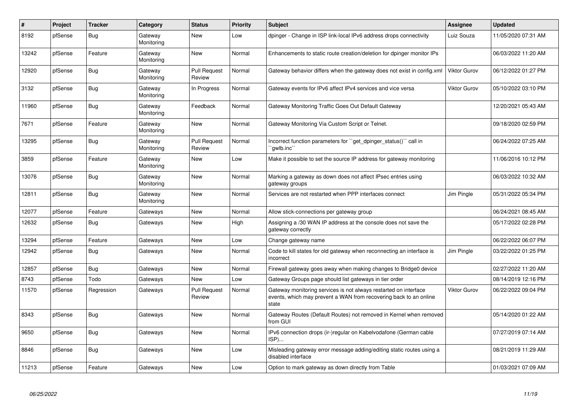| $\#$  | <b>Project</b> | <b>Tracker</b> | Category              | <b>Status</b>                 | <b>Priority</b> | <b>Subject</b>                                                                                                                                 | Assignee            | <b>Updated</b>      |
|-------|----------------|----------------|-----------------------|-------------------------------|-----------------|------------------------------------------------------------------------------------------------------------------------------------------------|---------------------|---------------------|
| 8192  | pfSense        | <b>Bug</b>     | Gateway<br>Monitoring | <b>New</b>                    | Low             | dpinger - Change in ISP link-local IPv6 address drops connectivity                                                                             | Luiz Souza          | 11/05/2020 07:31 AM |
| 13242 | pfSense        | Feature        | Gateway<br>Monitoring | <b>New</b>                    | Normal          | Enhancements to static route creation/deletion for dpinger monitor IPs                                                                         |                     | 06/03/2022 11:20 AM |
| 12920 | pfSense        | Bug            | Gateway<br>Monitoring | <b>Pull Request</b><br>Review | Normal          | Gateway behavior differs when the gateway does not exist in config.xml                                                                         | <b>Viktor Gurov</b> | 06/12/2022 01:27 PM |
| 3132  | pfSense        | Bug            | Gateway<br>Monitoring | In Progress                   | Normal          | Gateway events for IPv6 affect IPv4 services and vice versa                                                                                    | <b>Viktor Gurov</b> | 05/10/2022 03:10 PM |
| 11960 | pfSense        | Bug            | Gateway<br>Monitoring | Feedback                      | Normal          | Gateway Monitoring Traffic Goes Out Default Gateway                                                                                            |                     | 12/20/2021 05:43 AM |
| 7671  | pfSense        | Feature        | Gateway<br>Monitoring | <b>New</b>                    | Normal          | Gateway Monitoring Via Custom Script or Telnet.                                                                                                |                     | 09/18/2020 02:59 PM |
| 13295 | pfSense        | Bug            | Gateway<br>Monitoring | Pull Request<br>Review        | Normal          | Incorrect function parameters for "get dpinger status()" call in<br>`awlb.inc``                                                                |                     | 06/24/2022 07:25 AM |
| 3859  | pfSense        | Feature        | Gateway<br>Monitoring | <b>New</b>                    | Low             | Make it possible to set the source IP address for gateway monitoring                                                                           |                     | 11/06/2016 10:12 PM |
| 13076 | pfSense        | <b>Bug</b>     | Gateway<br>Monitoring | New                           | Normal          | Marking a gateway as down does not affect IPsec entries using<br>gateway groups                                                                |                     | 06/03/2022 10:32 AM |
| 12811 | pfSense        | Bug            | Gateway<br>Monitoring | New                           | Normal          | Services are not restarted when PPP interfaces connect                                                                                         | Jim Pingle          | 05/31/2022 05:34 PM |
| 12077 | pfSense        | Feature        | Gateways              | <b>New</b>                    | Normal          | Allow stick-connections per gateway group                                                                                                      |                     | 06/24/2021 08:45 AM |
| 12632 | pfSense        | Bug            | Gateways              | New                           | High            | Assigning a /30 WAN IP address at the console does not save the<br>gateway correctly                                                           |                     | 05/17/2022 02:28 PM |
| 13294 | pfSense        | Feature        | Gateways              | <b>New</b>                    | Low             | Change gateway name                                                                                                                            |                     | 06/22/2022 06:07 PM |
| 12942 | pfSense        | <b>Bug</b>     | Gateways              | <b>New</b>                    | Normal          | Code to kill states for old gateway when reconnecting an interface is<br>incorrect                                                             | Jim Pingle          | 03/22/2022 01:25 PM |
| 12857 | pfSense        | Bug            | Gateways              | <b>New</b>                    | Normal          | Firewall gateway goes away when making changes to Bridge0 device                                                                               |                     | 02/27/2022 11:20 AM |
| 8743  | pfSense        | Todo           | Gateways              | New                           | Low             | Gateway Groups page should list gateways in tier order                                                                                         |                     | 08/14/2019 12:16 PM |
| 11570 | pfSense        | Regression     | Gateways              | <b>Pull Request</b><br>Review | Normal          | Gateway monitoring services is not always restarted on interface<br>events, which may prevent a WAN from recovering back to an online<br>state | <b>Viktor Gurov</b> | 06/22/2022 09:04 PM |
| 8343  | pfSense        | Bug            | Gateways              | New                           | Normal          | Gateway Routes (Default Routes) not removed in Kernel when removed<br>from GUI                                                                 |                     | 05/14/2020 01:22 AM |
| 9650  | pfSense        | Bug            | Gateways              | <b>New</b>                    | Normal          | IPv6 connection drops (ir-)regular on Kabelvodafone (German cable<br>ISP)                                                                      |                     | 07/27/2019 07:14 AM |
| 8846  | pfSense        | <b>Bug</b>     | Gateways              | <b>New</b>                    | Low             | Misleading gateway error message adding/editing static routes using a<br>disabled interface                                                    |                     | 08/21/2019 11:29 AM |
| 11213 | pfSense        | Feature        | Gateways              | <b>New</b>                    | Low             | Option to mark gateway as down directly from Table                                                                                             |                     | 01/03/2021 07:09 AM |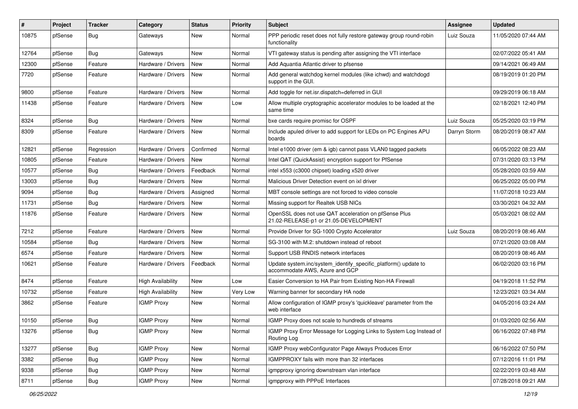| #     | Project | <b>Tracker</b> | Category                 | <b>Status</b> | <b>Priority</b> | Subject                                                                                           | Assignee     | <b>Updated</b>      |
|-------|---------|----------------|--------------------------|---------------|-----------------|---------------------------------------------------------------------------------------------------|--------------|---------------------|
| 10875 | pfSense | Bug            | Gateways                 | New           | Normal          | PPP periodic reset does not fully restore gateway group round-robin<br>functionality              | Luiz Souza   | 11/05/2020 07:44 AM |
| 12764 | pfSense | Bug            | Gateways                 | New           | Normal          | VTI gateway status is pending after assigning the VTI interface                                   |              | 02/07/2022 05:41 AM |
| 12300 | pfSense | Feature        | Hardware / Drivers       | New           | Normal          | Add Aquantia Atlantic driver to pfsense                                                           |              | 09/14/2021 06:49 AM |
| 7720  | pfSense | Feature        | Hardware / Drivers       | <b>New</b>    | Normal          | Add general watchdog kernel modules (like ichwd) and watchdogd<br>support in the GUI.             |              | 08/19/2019 01:20 PM |
| 9800  | pfSense | Feature        | Hardware / Drivers       | <b>New</b>    | Normal          | Add toggle for net.isr.dispatch=deferred in GUI                                                   |              | 09/29/2019 06:18 AM |
| 11438 | pfSense | Feature        | Hardware / Drivers       | New           | Low             | Allow multiple cryptographic accelerator modules to be loaded at the<br>same time                 |              | 02/18/2021 12:40 PM |
| 8324  | pfSense | <b>Bug</b>     | Hardware / Drivers       | <b>New</b>    | Normal          | bxe cards require promisc for OSPF                                                                | Luiz Souza   | 05/25/2020 03:19 PM |
| 8309  | pfSense | Feature        | Hardware / Drivers       | New           | Normal          | Include apuled driver to add support for LEDs on PC Engines APU<br>boards                         | Darryn Storm | 08/20/2019 08:47 AM |
| 12821 | pfSense | Regression     | Hardware / Drivers       | Confirmed     | Normal          | Intel e1000 driver (em & igb) cannot pass VLAN0 tagged packets                                    |              | 06/05/2022 08:23 AM |
| 10805 | pfSense | Feature        | Hardware / Drivers       | <b>New</b>    | Normal          | Intel QAT (QuickAssist) encryption support for PfSense                                            |              | 07/31/2020 03:13 PM |
| 10577 | pfSense | Bug            | Hardware / Drivers       | Feedback      | Normal          | intel x553 (c3000 chipset) loading x520 driver                                                    |              | 05/28/2020 03:59 AM |
| 13003 | pfSense | Bug            | Hardware / Drivers       | New           | Normal          | Malicious Driver Detection event on ixl driver                                                    |              | 06/25/2022 05:00 PM |
| 9094  | pfSense | <b>Bug</b>     | Hardware / Drivers       | Assigned      | Normal          | MBT console settings are not forced to video console                                              |              | 11/07/2018 10:23 AM |
| 11731 | pfSense | <b>Bug</b>     | Hardware / Drivers       | <b>New</b>    | Normal          | Missing support for Realtek USB NICs                                                              |              | 03/30/2021 04:32 AM |
| 11876 | pfSense | Feature        | Hardware / Drivers       | New           | Normal          | OpenSSL does not use QAT acceleration on pfSense Plus<br>21.02-RELEASE-p1 or 21.05-DEVELOPMENT    |              | 05/03/2021 08:02 AM |
| 7212  | pfSense | Feature        | Hardware / Drivers       | <b>New</b>    | Normal          | Provide Driver for SG-1000 Crypto Accelerator                                                     | Luiz Souza   | 08/20/2019 08:46 AM |
| 10584 | pfSense | Bug            | Hardware / Drivers       | New           | Normal          | SG-3100 with M.2: shutdown instead of reboot                                                      |              | 07/21/2020 03:08 AM |
| 6574  | pfSense | Feature        | Hardware / Drivers       | <b>New</b>    | Normal          | Support USB RNDIS network interfaces                                                              |              | 08/20/2019 08:46 AM |
| 10621 | pfSense | Feature        | Hardware / Drivers       | Feedback      | Normal          | Update system.inc/system_identify_specific_platform() update to<br>accommodate AWS, Azure and GCP |              | 06/02/2020 03:16 PM |
| 8474  | pfSense | Feature        | <b>High Availability</b> | New           | Low             | Easier Conversion to HA Pair from Existing Non-HA Firewall                                        |              | 04/19/2018 11:52 PM |
| 10732 | pfSense | Feature        | <b>High Availability</b> | New           | Very Low        | Warning banner for secondary HA node                                                              |              | 12/23/2021 03:34 AM |
| 3862  | pfSense | Feature        | <b>IGMP Proxy</b>        | New           | Normal          | Allow configuration of IGMP proxy's 'quickleave' parameter from the<br>web interface              |              | 04/05/2016 03:24 AM |
| 10150 | pfSense | Bug            | <b>IGMP Proxy</b>        | New           | Normal          | IGMP Proxy does not scale to hundreds of streams                                                  |              | 01/03/2020 02:56 AM |
| 13276 | pfSense | <b>Bug</b>     | <b>IGMP Proxy</b>        | New           | Normal          | IGMP Proxy Error Message for Logging Links to System Log Instead of<br>Routing Log                |              | 06/16/2022 07:48 PM |
| 13277 | pfSense | <b>Bug</b>     | <b>IGMP Proxy</b>        | New           | Normal          | IGMP Proxy webConfigurator Page Always Produces Error                                             |              | 06/16/2022 07:50 PM |
| 3382  | pfSense | Bug            | <b>IGMP Proxy</b>        | New           | Normal          | IGMPPROXY fails with more than 32 interfaces                                                      |              | 07/12/2016 11:01 PM |
| 9338  | pfSense | <b>Bug</b>     | <b>IGMP Proxy</b>        | New           | Normal          | igmpproxy ignoring downstream vlan interface                                                      |              | 02/22/2019 03:48 AM |
| 8711  | pfSense | Bug            | <b>IGMP Proxy</b>        | New           | Normal          | igmpproxy with PPPoE Interfaces                                                                   |              | 07/28/2018 09:21 AM |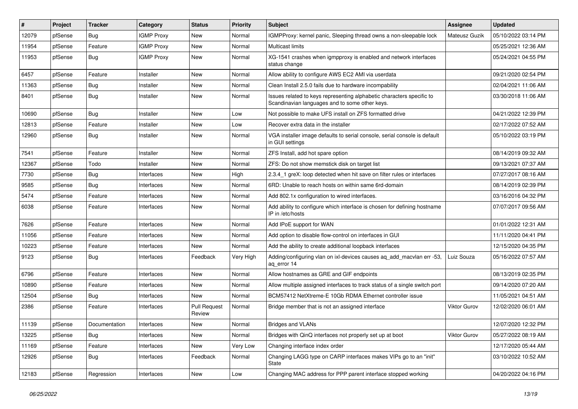| #     | Project | <b>Tracker</b> | Category          | <b>Status</b>                 | <b>Priority</b> | <b>Subject</b>                                                                                                          | <b>Assignee</b>     | <b>Updated</b>      |
|-------|---------|----------------|-------------------|-------------------------------|-----------------|-------------------------------------------------------------------------------------------------------------------------|---------------------|---------------------|
| 12079 | pfSense | Bug            | <b>IGMP Proxy</b> | New                           | Normal          | IGMPProxy: kernel panic, Sleeping thread owns a non-sleepable lock                                                      | Mateusz Guzik       | 05/10/2022 03:14 PM |
| 11954 | pfSense | Feature        | <b>IGMP Proxy</b> | <b>New</b>                    | Normal          | <b>Multicast limits</b>                                                                                                 |                     | 05/25/2021 12:36 AM |
| 11953 | pfSense | Bug            | <b>IGMP Proxy</b> | New                           | Normal          | XG-1541 crashes when igmpproxy is enabled and network interfaces<br>status change                                       |                     | 05/24/2021 04:55 PM |
| 6457  | pfSense | Feature        | Installer         | <b>New</b>                    | Normal          | Allow ability to configure AWS EC2 AMI via userdata                                                                     |                     | 09/21/2020 02:54 PM |
| 11363 | pfSense | Bug            | Installer         | New                           | Normal          | Clean Install 2.5.0 fails due to hardware incompability                                                                 |                     | 02/04/2021 11:06 AM |
| 8401  | pfSense | <b>Bug</b>     | Installer         | New                           | Normal          | Issues related to keys representing alphabetic characters specific to<br>Scandinavian languages and to some other keys. |                     | 03/30/2018 11:06 AM |
| 10690 | pfSense | <b>Bug</b>     | Installer         | <b>New</b>                    | Low             | Not possible to make UFS install on ZFS formatted drive                                                                 |                     | 04/21/2022 12:39 PM |
| 12813 | pfSense | Feature        | Installer         | New                           | Low             | Recover extra data in the installer                                                                                     |                     | 02/17/2022 07:52 AM |
| 12960 | pfSense | Bug            | Installer         | New                           | Normal          | VGA installer image defaults to serial console, serial console is default<br>in GUI settings                            |                     | 05/10/2022 03:19 PM |
| 7541  | pfSense | Feature        | Installer         | <b>New</b>                    | Normal          | ZFS Install, add hot spare option                                                                                       |                     | 08/14/2019 09:32 AM |
| 12367 | pfSense | Todo           | Installer         | New                           | Normal          | ZFS: Do not show memstick disk on target list                                                                           |                     | 09/13/2021 07:37 AM |
| 7730  | pfSense | <b>Bug</b>     | Interfaces        | New                           | High            | 2.3.4_1 greX: loop detected when hit save on filter rules or interfaces                                                 |                     | 07/27/2017 08:16 AM |
| 9585  | pfSense | Bug            | Interfaces        | New                           | Normal          | 6RD: Unable to reach hosts on within same 6rd-domain                                                                    |                     | 08/14/2019 02:39 PM |
| 5474  | pfSense | Feature        | Interfaces        | New                           | Normal          | Add 802.1x configuration to wired interfaces.                                                                           |                     | 03/16/2016 04:32 PM |
| 6038  | pfSense | Feature        | Interfaces        | New                           | Normal          | Add ability to configure which interface is chosen for defining hostname<br>IP in /etc/hosts                            |                     | 07/07/2017 09:56 AM |
| 7626  | pfSense | Feature        | Interfaces        | New                           | Normal          | Add IPoE support for WAN                                                                                                |                     | 01/01/2022 12:31 AM |
| 11056 | pfSense | Feature        | Interfaces        | <b>New</b>                    | Normal          | Add option to disable flow-control on interfaces in GUI                                                                 |                     | 11/11/2020 04:41 PM |
| 10223 | pfSense | Feature        | Interfaces        | New                           | Normal          | Add the ability to create additional loopback interfaces                                                                |                     | 12/15/2020 04:35 PM |
| 9123  | pfSense | Bug            | Interfaces        | Feedback                      | Very High       | Adding/configuring vlan on ixl-devices causes aq_add_macvlan err -53,<br>aq_error 14                                    | Luiz Souza          | 05/16/2022 07:57 AM |
| 6796  | pfSense | Feature        | Interfaces        | New                           | Normal          | Allow hostnames as GRE and GIF endpoints                                                                                |                     | 08/13/2019 02:35 PM |
| 10890 | pfSense | Feature        | Interfaces        | New                           | Normal          | Allow multiple assigned interfaces to track status of a single switch port                                              |                     | 09/14/2020 07:20 AM |
| 12504 | pfSense | Bug            | Interfaces        | New                           | Normal          | BCM57412 NetXtreme-E 10Gb RDMA Ethernet controller issue                                                                |                     | 11/05/2021 04:51 AM |
| 2386  | pfSense | Feature        | Interfaces        | <b>Pull Request</b><br>Review | Normal          | Bridge member that is not an assigned interface                                                                         | <b>Viktor Gurov</b> | 12/02/2020 06:01 AM |
| 11139 | pfSense | Documentation  | Interfaces        | New                           | Normal          | <b>Bridges and VLANs</b>                                                                                                |                     | 12/07/2020 12:32 PM |
| 13225 | pfSense | Bug            | Interfaces        | New                           | Normal          | Bridges with QinQ interfaces not properly set up at boot                                                                | Viktor Gurov        | 05/27/2022 08:19 AM |
| 11169 | pfSense | Feature        | Interfaces        | New                           | Very Low        | Changing interface index order                                                                                          |                     | 12/17/2020 05:44 AM |
| 12926 | pfSense | Bug            | Interfaces        | Feedback                      | Normal          | Changing LAGG type on CARP interfaces makes VIPs go to an "init"<br>State                                               |                     | 03/10/2022 10:52 AM |
| 12183 | pfSense | Regression     | Interfaces        | New                           | Low             | Changing MAC address for PPP parent interface stopped working                                                           |                     | 04/20/2022 04:16 PM |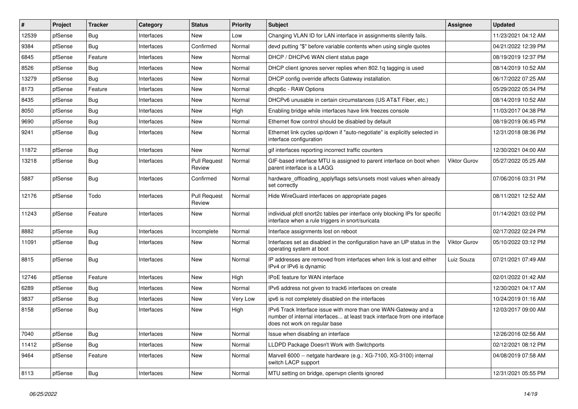| #     | Project | <b>Tracker</b> | Category   | <b>Status</b>                 | <b>Priority</b> | Subject                                                                                                                                                                       | <b>Assignee</b> | <b>Updated</b>      |
|-------|---------|----------------|------------|-------------------------------|-----------------|-------------------------------------------------------------------------------------------------------------------------------------------------------------------------------|-----------------|---------------------|
| 12539 | pfSense | Bug            | Interfaces | New                           | Low             | Changing VLAN ID for LAN interface in assignments silently fails.                                                                                                             |                 | 11/23/2021 04:12 AM |
| 9384  | pfSense | <b>Bug</b>     | Interfaces | Confirmed                     | Normal          | devd putting "\$" before variable contents when using single quotes                                                                                                           |                 | 04/21/2022 12:39 PM |
| 6845  | pfSense | Feature        | Interfaces | New                           | Normal          | DHCP / DHCPv6 WAN client status page                                                                                                                                          |                 | 08/19/2019 12:37 PM |
| 8526  | pfSense | Bug            | Interfaces | New                           | Normal          | DHCP client ignores server replies when 802.1q tagging is used                                                                                                                |                 | 08/14/2019 10:52 AM |
| 13279 | pfSense | Bug            | Interfaces | New                           | Normal          | DHCP config override affects Gateway installation.                                                                                                                            |                 | 06/17/2022 07:25 AM |
| 8173  | pfSense | Feature        | Interfaces | New                           | Normal          | dhcp6c - RAW Options                                                                                                                                                          |                 | 05/29/2022 05:34 PM |
| 8435  | pfSense | <b>Bug</b>     | Interfaces | New                           | Normal          | DHCPv6 unusable in certain circumstances (US AT&T Fiber, etc.)                                                                                                                |                 | 08/14/2019 10:52 AM |
| 8050  | pfSense | Bug            | Interfaces | New                           | High            | Enabling bridge while interfaces have link freezes console                                                                                                                    |                 | 11/03/2017 04:38 PM |
| 9690  | pfSense | Bug            | Interfaces | New                           | Normal          | Ethernet flow control should be disabled by default                                                                                                                           |                 | 08/19/2019 06:45 PM |
| 9241  | pfSense | <b>Bug</b>     | Interfaces | New                           | Normal          | Ethernet link cycles up/down if "auto-negotiate" is explicitly selected in<br>interface configuration                                                                         |                 | 12/31/2018 08:36 PM |
| 11872 | pfSense | Bug            | Interfaces | New                           | Normal          | gif interfaces reporting incorrect traffic counters                                                                                                                           |                 | 12/30/2021 04:00 AM |
| 13218 | pfSense | <b>Bug</b>     | Interfaces | <b>Pull Request</b><br>Review | Normal          | GIF-based interface MTU is assigned to parent interface on boot when<br>parent interface is a LAGG                                                                            | Viktor Gurov    | 05/27/2022 05:25 AM |
| 5887  | pfSense | <b>Bug</b>     | Interfaces | Confirmed                     | Normal          | hardware_offloading_applyflags sets/unsets most values when already<br>set correctly                                                                                          |                 | 07/06/2016 03:31 PM |
| 12176 | pfSense | Todo           | Interfaces | <b>Pull Request</b><br>Review | Normal          | Hide WireGuard interfaces on appropriate pages                                                                                                                                |                 | 08/11/2021 12:52 AM |
| 11243 | pfSense | Feature        | Interfaces | New                           | Normal          | individual pfctl snort2c tables per interface only blocking IPs for specific<br>interface when a rule triggers in snort/suricata                                              |                 | 01/14/2021 03:02 PM |
| 8882  | pfSense | Bug            | Interfaces | Incomplete                    | Normal          | Interface assignments lost on reboot                                                                                                                                          |                 | 02/17/2022 02:24 PM |
| 11091 | pfSense | Bug            | Interfaces | New                           | Normal          | Interfaces set as disabled in the configuration have an UP status in the<br>operating system at boot                                                                          | Viktor Gurov    | 05/10/2022 03:12 PM |
| 8815  | pfSense | Bug            | Interfaces | <b>New</b>                    | Normal          | IP addresses are removed from interfaces when link is lost and either<br>IPv4 or IPv6 is dynamic                                                                              | Luiz Souza      | 07/21/2021 07:49 AM |
| 12746 | pfSense | Feature        | Interfaces | <b>New</b>                    | High            | IPoE feature for WAN interface                                                                                                                                                |                 | 02/01/2022 01:42 AM |
| 6289  | pfSense | Bug            | Interfaces | <b>New</b>                    | Normal          | IPv6 address not given to track6 interfaces on create                                                                                                                         |                 | 12/30/2021 04:17 AM |
| 9837  | pfSense | <b>Bug</b>     | Interfaces | New                           | Very Low        | ipv6 is not completely disabled on the interfaces                                                                                                                             |                 | 10/24/2019 01:16 AM |
| 8158  | pfSense | <b>Bug</b>     | Interfaces | New                           | High            | IPv6 Track Interface issue with more than one WAN-Gateway and a<br>number of internal interfaces at least track interface from one interface<br>does not work on regular base |                 | 12/03/2017 09:00 AM |
| 7040  | pfSense | <b>Bug</b>     | Interfaces | New                           | Normal          | Issue when disabling an interface                                                                                                                                             |                 | 12/26/2016 02:56 AM |
| 11412 | pfSense | <b>Bug</b>     | Interfaces | New                           | Normal          | LLDPD Package Doesn't Work with Switchports                                                                                                                                   |                 | 02/12/2021 08:12 PM |
| 9464  | pfSense | Feature        | Interfaces | New                           | Normal          | Marvell 6000 -- netgate hardware (e.g.: XG-7100, XG-3100) internal<br>switch LACP support                                                                                     |                 | 04/08/2019 07:58 AM |
| 8113  | pfSense | <b>Bug</b>     | Interfaces | New                           | Normal          | MTU setting on bridge, openvpn clients ignored                                                                                                                                |                 | 12/31/2021 05:55 PM |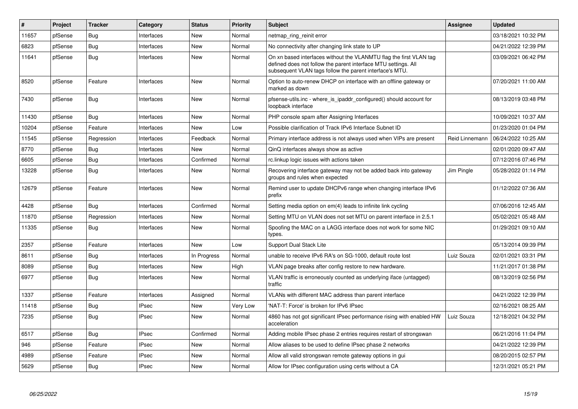| $\#$  | <b>Project</b> | <b>Tracker</b> | Category     | <b>Status</b> | Priority | <b>Subject</b>                                                                                                                                                                                  | <b>Assignee</b> | <b>Updated</b>      |
|-------|----------------|----------------|--------------|---------------|----------|-------------------------------------------------------------------------------------------------------------------------------------------------------------------------------------------------|-----------------|---------------------|
| 11657 | pfSense        | Bug            | Interfaces   | <b>New</b>    | Normal   | netmap ring reinit error                                                                                                                                                                        |                 | 03/18/2021 10:32 PM |
| 6823  | pfSense        | Bug            | Interfaces   | New           | Normal   | No connectivity after changing link state to UP                                                                                                                                                 |                 | 04/21/2022 12:39 PM |
| 11641 | pfSense        | Bug            | Interfaces   | <b>New</b>    | Normal   | On xn based interfaces without the VLANMTU flag the first VLAN tag<br>defined does not follow the parent interface MTU settings. All<br>subsequent VLAN tags follow the parent interface's MTU. |                 | 03/09/2021 06:42 PM |
| 8520  | pfSense        | Feature        | Interfaces   | New           | Normal   | Option to auto-renew DHCP on interface with an offline gateway or<br>marked as down                                                                                                             |                 | 07/20/2021 11:00 AM |
| 7430  | pfSense        | Bug            | Interfaces   | <b>New</b>    | Normal   | pfsense-utils.inc - where_is_ipaddr_configured() should account for<br>loopback interface                                                                                                       |                 | 08/13/2019 03:48 PM |
| 11430 | pfSense        | Bug            | Interfaces   | <b>New</b>    | Normal   | PHP console spam after Assigning Interfaces                                                                                                                                                     |                 | 10/09/2021 10:37 AM |
| 10204 | pfSense        | Feature        | Interfaces   | <b>New</b>    | Low      | Possible clarification of Track IPv6 Interface Subnet ID                                                                                                                                        |                 | 01/23/2020 01:04 PM |
| 11545 | pfSense        | Regression     | Interfaces   | Feedback      | Normal   | Primary interface address is not always used when VIPs are present                                                                                                                              | Reid Linnemann  | 06/24/2022 10:25 AM |
| 8770  | pfSense        | Bug            | Interfaces   | <b>New</b>    | Normal   | QinQ interfaces always show as active                                                                                                                                                           |                 | 02/01/2020 09:47 AM |
| 6605  | pfSense        | <b>Bug</b>     | Interfaces   | Confirmed     | Normal   | rc.linkup logic issues with actions taken                                                                                                                                                       |                 | 07/12/2016 07:46 PM |
| 13228 | pfSense        | Bug            | Interfaces   | <b>New</b>    | Normal   | Recovering interface gateway may not be added back into gateway<br>groups and rules when expected                                                                                               | Jim Pingle      | 05/28/2022 01:14 PM |
| 12679 | pfSense        | Feature        | Interfaces   | <b>New</b>    | Normal   | Remind user to update DHCPv6 range when changing interface IPv6<br>prefix                                                                                                                       |                 | 01/12/2022 07:36 AM |
| 4428  | pfSense        | Bug            | Interfaces   | Confirmed     | Normal   | Setting media option on em(4) leads to infinite link cycling                                                                                                                                    |                 | 07/06/2016 12:45 AM |
| 11870 | pfSense        | Regression     | Interfaces   | <b>New</b>    | Normal   | Setting MTU on VLAN does not set MTU on parent interface in 2.5.1                                                                                                                               |                 | 05/02/2021 05:48 AM |
| 11335 | pfSense        | Bug            | Interfaces   | <b>New</b>    | Normal   | Spoofing the MAC on a LAGG interface does not work for some NIC<br>types.                                                                                                                       |                 | 01/29/2021 09:10 AM |
| 2357  | pfSense        | Feature        | Interfaces   | <b>New</b>    | Low      | <b>Support Dual Stack Lite</b>                                                                                                                                                                  |                 | 05/13/2014 09:39 PM |
| 8611  | pfSense        | Bug            | Interfaces   | In Progress   | Normal   | unable to receive IPv6 RA's on SG-1000, default route lost                                                                                                                                      | Luiz Souza      | 02/01/2021 03:31 PM |
| 8089  | pfSense        | <b>Bug</b>     | Interfaces   | New           | High     | VLAN page breaks after config restore to new hardware.                                                                                                                                          |                 | 11/21/2017 01:38 PM |
| 6977  | pfSense        | <b>Bug</b>     | Interfaces   | <b>New</b>    | Normal   | VLAN traffic is erroneously counted as underlying iface (untagged)<br>traffic                                                                                                                   |                 | 08/13/2019 02:56 PM |
| 1337  | pfSense        | Feature        | Interfaces   | Assigned      | Normal   | VLANs with different MAC address than parent interface                                                                                                                                          |                 | 04/21/2022 12:39 PM |
| 11418 | pfSense        | <b>Bug</b>     | <b>IPsec</b> | <b>New</b>    | Very Low | 'NAT-T: Force' is broken for IPv6 IPsec                                                                                                                                                         |                 | 02/16/2021 08:25 AM |
| 7235  | pfSense        | <b>Bug</b>     | <b>IPsec</b> | <b>New</b>    | Normal   | 4860 has not got significant IPsec performance rising with enabled HW<br>acceleration                                                                                                           | Luiz Souza      | 12/18/2021 04:32 PM |
| 6517  | pfSense        | Bug            | <b>IPsec</b> | Confirmed     | Normal   | Adding mobile IPsec phase 2 entries requires restart of strongswan                                                                                                                              |                 | 06/21/2016 11:04 PM |
| 946   | pfSense        | Feature        | <b>IPsec</b> | <b>New</b>    | Normal   | Allow aliases to be used to define IPsec phase 2 networks                                                                                                                                       |                 | 04/21/2022 12:39 PM |
| 4989  | pfSense        | Feature        | <b>IPsec</b> | <b>New</b>    | Normal   | Allow all valid strongswan remote gateway options in gui                                                                                                                                        |                 | 08/20/2015 02:57 PM |
| 5629  | pfSense        | <b>Bug</b>     | <b>IPsec</b> | <b>New</b>    | Normal   | Allow for IPsec configuration using certs without a CA                                                                                                                                          |                 | 12/31/2021 05:21 PM |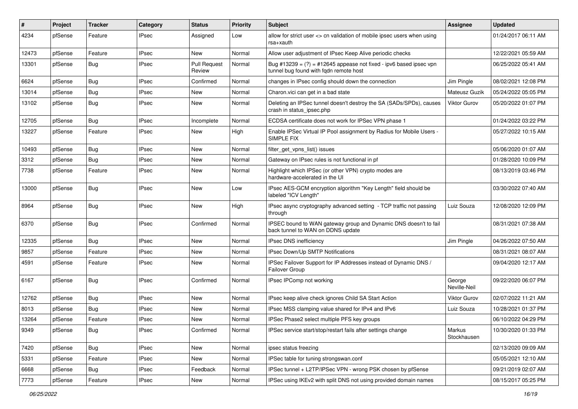| #     | Project | <b>Tracker</b> | Category     | <b>Status</b>                 | <b>Priority</b> | Subject                                                                                                        | <b>Assignee</b>        | <b>Updated</b>      |
|-------|---------|----------------|--------------|-------------------------------|-----------------|----------------------------------------------------------------------------------------------------------------|------------------------|---------------------|
| 4234  | pfSense | Feature        | IPsec        | Assigned                      | Low             | allow for strict user <> cn validation of mobile ipsec users when using<br>rsa+xauth                           |                        | 01/24/2017 06:11 AM |
| 12473 | pfSense | Feature        | <b>IPsec</b> | New                           | Normal          | Allow user adjustment of IPsec Keep Alive periodic checks                                                      |                        | 12/22/2021 05:59 AM |
| 13301 | pfSense | Bug            | IPsec        | <b>Pull Request</b><br>Review | Normal          | Bug #13239 = $(?)$ = #12645 appease not fixed - ipv6 based ipsec vpn<br>tunnel bug found with fqdn remote host |                        | 06/25/2022 05:41 AM |
| 6624  | pfSense | Bug            | <b>IPsec</b> | Confirmed                     | Normal          | changes in IPsec config should down the connection                                                             | Jim Pingle             | 08/02/2021 12:08 PM |
| 13014 | pfSense | Bug            | <b>IPsec</b> | New                           | Normal          | Charon.vici can get in a bad state                                                                             | Mateusz Guzik          | 05/24/2022 05:05 PM |
| 13102 | pfSense | Bug            | <b>IPsec</b> | New                           | Normal          | Deleting an IPSec tunnel doesn't destroy the SA (SADs/SPDs), causes<br>crash in status_ipsec.php               | <b>Viktor Gurov</b>    | 05/20/2022 01:07 PM |
| 12705 | pfSense | <b>Bug</b>     | <b>IPsec</b> | Incomplete                    | Normal          | ECDSA certificate does not work for IPSec VPN phase 1                                                          |                        | 01/24/2022 03:22 PM |
| 13227 | pfSense | Feature        | IPsec        | New                           | High            | Enable IPSec Virtual IP Pool assignment by Radius for Mobile Users -<br>SIMPLE FIX                             |                        | 05/27/2022 10:15 AM |
| 10493 | pfSense | <b>Bug</b>     | <b>IPsec</b> | <b>New</b>                    | Normal          | filter_get_vpns_list() issues                                                                                  |                        | 05/06/2020 01:07 AM |
| 3312  | pfSense | Bug            | <b>IPsec</b> | New                           | Normal          | Gateway on IPsec rules is not functional in pf                                                                 |                        | 01/28/2020 10:09 PM |
| 7738  | pfSense | Feature        | IPsec        | New                           | Normal          | Highlight which IPSec (or other VPN) crypto modes are<br>hardware-accelerated in the UI                        |                        | 08/13/2019 03:46 PM |
| 13000 | pfSense | <b>Bug</b>     | <b>IPsec</b> | New                           | Low             | IPsec AES-GCM encryption algorithm "Key Length" field should be<br>labeled "ICV Length"                        |                        | 03/30/2022 07:40 AM |
| 8964  | pfSense | Bug            | <b>IPsec</b> | New                           | High            | IPsec async cryptography advanced setting - TCP traffic not passing<br>through                                 | Luiz Souza             | 12/08/2020 12:09 PM |
| 6370  | pfSense | Bug            | <b>IPsec</b> | Confirmed                     | Normal          | IPSEC bound to WAN gateway group and Dynamic DNS doesn't to fail<br>back tunnel to WAN on DDNS update          |                        | 08/31/2021 07:38 AM |
| 12335 | pfSense | Bug            | <b>IPsec</b> | New                           | Normal          | IPsec DNS inefficiency                                                                                         | Jim Pingle             | 04/26/2022 07:50 AM |
| 9857  | pfSense | Feature        | <b>IPsec</b> | <b>New</b>                    | Normal          | IPsec Down/Up SMTP Notifications                                                                               |                        | 08/31/2021 08:07 AM |
| 4591  | pfSense | Feature        | <b>IPsec</b> | New                           | Normal          | IPSec Failover Support for IP Addresses instead of Dynamic DNS /<br>Failover Group                             |                        | 09/04/2020 12:17 AM |
| 6167  | pfSense | <b>Bug</b>     | <b>IPsec</b> | Confirmed                     | Normal          | IPsec IPComp not working                                                                                       | George<br>Neville-Neil | 09/22/2020 06:07 PM |
| 12762 | pfSense | Bug            | <b>IPsec</b> | <b>New</b>                    | Normal          | IPsec keep alive check ignores Child SA Start Action                                                           | <b>Viktor Gurov</b>    | 02/07/2022 11:21 AM |
| 8013  | pfSense | Bug            | <b>IPsec</b> | New                           | Normal          | IPsec MSS clamping value shared for IPv4 and IPv6                                                              | Luiz Souza             | 10/28/2021 01:37 PM |
| 13264 | pfSense | Feature        | <b>IPsec</b> | New                           | Normal          | IPSec Phase2 select multiple PFS key groups                                                                    |                        | 06/10/2022 04:29 PM |
| 9349  | pfSense | Bug            | <b>IPsec</b> | Confirmed                     | Normal          | IPSec service start/stop/restart fails after settings change                                                   | Markus<br>Stockhausen  | 10/30/2020 01:33 PM |
| 7420  | pfSense | <b>Bug</b>     | <b>IPsec</b> | New                           | Normal          | ipsec status freezing                                                                                          |                        | 02/13/2020 09:09 AM |
| 5331  | pfSense | Feature        | <b>IPsec</b> | New                           | Normal          | IPSec table for tuning strongswan.conf                                                                         |                        | 05/05/2021 12:10 AM |
| 6668  | pfSense | Bug            | <b>IPsec</b> | Feedback                      | Normal          | IPSec tunnel + L2TP/IPSec VPN - wrong PSK chosen by pfSense                                                    |                        | 09/21/2019 02:07 AM |
| 7773  | pfSense | Feature        | <b>IPsec</b> | New                           | Normal          | IPSec using IKEv2 with split DNS not using provided domain names                                               |                        | 08/15/2017 05:25 PM |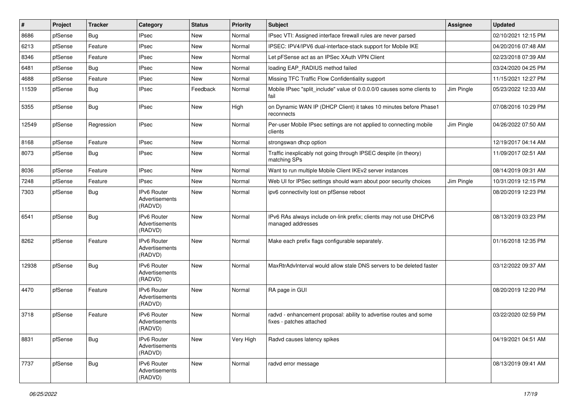| #     | Project | <b>Tracker</b> | Category                                        | <b>Status</b> | <b>Priority</b> | Subject                                                                                        | <b>Assignee</b> | <b>Updated</b>      |
|-------|---------|----------------|-------------------------------------------------|---------------|-----------------|------------------------------------------------------------------------------------------------|-----------------|---------------------|
| 8686  | pfSense | Bug            | <b>IPsec</b>                                    | New           | Normal          | IPsec VTI: Assigned interface firewall rules are never parsed                                  |                 | 02/10/2021 12:15 PM |
| 6213  | pfSense | Feature        | <b>IPsec</b>                                    | New           | Normal          | IPSEC: IPV4/IPV6 dual-interface-stack support for Mobile IKE                                   |                 | 04/20/2016 07:48 AM |
| 8346  | pfSense | Feature        | <b>IPsec</b>                                    | New           | Normal          | Let pFSense act as an IPSec XAuth VPN Client                                                   |                 | 02/23/2018 07:39 AM |
| 6481  | pfSense | Bug            | <b>IPsec</b>                                    | New           | Normal          | loading EAP_RADIUS method failed                                                               |                 | 03/24/2020 04:25 PM |
| 4688  | pfSense | Feature        | <b>IPsec</b>                                    | New           | Normal          | Missing TFC Traffic Flow Confidentiality support                                               |                 | 11/15/2021 12:27 PM |
| 11539 | pfSense | Bug            | <b>IPsec</b>                                    | Feedback      | Normal          | Mobile IPsec "split_include" value of 0.0.0.0/0 causes some clients to<br>fail                 | Jim Pingle      | 05/23/2022 12:33 AM |
| 5355  | pfSense | <b>Bug</b>     | <b>IPsec</b>                                    | New           | High            | on Dynamic WAN IP (DHCP Client) it takes 10 minutes before Phase1<br>reconnects                |                 | 07/08/2016 10:29 PM |
| 12549 | pfSense | Regression     | <b>IPsec</b>                                    | <b>New</b>    | Normal          | Per-user Mobile IPsec settings are not applied to connecting mobile<br>clients                 | Jim Pingle      | 04/26/2022 07:50 AM |
| 8168  | pfSense | Feature        | <b>IPsec</b>                                    | New           | Normal          | strongswan dhcp option                                                                         |                 | 12/19/2017 04:14 AM |
| 8073  | pfSense | Bug            | <b>IPsec</b>                                    | New           | Normal          | Traffic inexplicably not going through IPSEC despite (in theory)<br>matching SPs               |                 | 11/09/2017 02:51 AM |
| 8036  | pfSense | Feature        | <b>IPsec</b>                                    | <b>New</b>    | Normal          | Want to run multiple Mobile Client IKEv2 server instances                                      |                 | 08/14/2019 09:31 AM |
| 7248  | pfSense | Feature        | <b>IPsec</b>                                    | New           | Normal          | Web UI for IPSec settings should warn about poor security choices                              | Jim Pingle      | 10/31/2019 12:15 PM |
| 7303  | pfSense | <b>Bug</b>     | IPv6 Router<br>Advertisements<br>(RADVD)        | New           | Normal          | ipv6 connectivity lost on pfSense reboot                                                       |                 | 08/20/2019 12:23 PM |
| 6541  | pfSense | Bug            | <b>IPv6 Router</b><br>Advertisements<br>(RADVD) | <b>New</b>    | Normal          | IPv6 RAs always include on-link prefix; clients may not use DHCPv6<br>managed addresses        |                 | 08/13/2019 03:23 PM |
| 8262  | pfSense | Feature        | <b>IPv6 Router</b><br>Advertisements<br>(RADVD) | New           | Normal          | Make each prefix flags configurable separately.                                                |                 | 01/16/2018 12:35 PM |
| 12938 | pfSense | Bug            | <b>IPv6 Router</b><br>Advertisements<br>(RADVD) | New           | Normal          | MaxRtrAdvInterval would allow stale DNS servers to be deleted faster                           |                 | 03/12/2022 09:37 AM |
| 4470  | pfSense | Feature        | <b>IPv6 Router</b><br>Advertisements<br>(RADVD) | New           | Normal          | RA page in GUI                                                                                 |                 | 08/20/2019 12:20 PM |
| 3718  | pfSense | Feature        | IPv6 Router<br>Advertisements<br>(RADVD)        | New           | Normal          | radvd - enhancement proposal: ability to advertise routes and some<br>fixes - patches attached |                 | 03/22/2020 02:59 PM |
| 8831  | pfSense | <b>Bug</b>     | IPv6 Router<br>Advertisements<br>(RADVD)        | New           | Very High       | Radvd causes latency spikes                                                                    |                 | 04/19/2021 04:51 AM |
| 7737  | pfSense | <b>Bug</b>     | IPv6 Router<br>Advertisements<br>(RADVD)        | New           | Normal          | radvd error message                                                                            |                 | 08/13/2019 09:41 AM |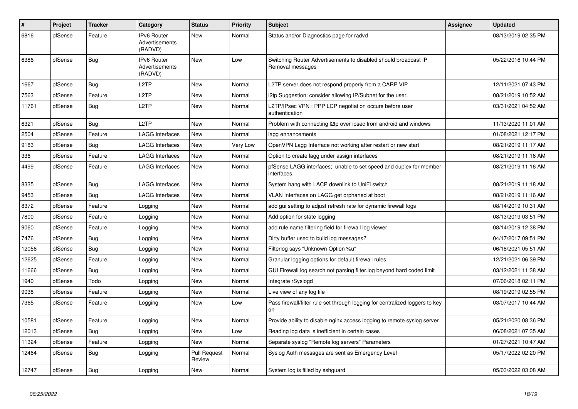| $\pmb{\#}$ | Project | <b>Tracker</b> | Category                                        | <b>Status</b>                 | <b>Priority</b> | <b>Subject</b>                                                                      | <b>Assignee</b> | <b>Updated</b>      |
|------------|---------|----------------|-------------------------------------------------|-------------------------------|-----------------|-------------------------------------------------------------------------------------|-----------------|---------------------|
| 6816       | pfSense | Feature        | <b>IPv6 Router</b><br>Advertisements<br>(RADVD) | <b>New</b>                    | Normal          | Status and/or Diagnostics page for radvd                                            |                 | 08/13/2019 02:35 PM |
| 6386       | pfSense | <b>Bug</b>     | IPv6 Router<br>Advertisements<br>(RADVD)        | <b>New</b>                    | Low             | Switching Router Advertisements to disabled should broadcast IP<br>Removal messages |                 | 05/22/2016 10:44 PM |
| 1667       | pfSense | <b>Bug</b>     | L <sub>2</sub> TP                               | <b>New</b>                    | Normal          | L2TP server does not respond properly from a CARP VIP                               |                 | 12/11/2021 07:43 PM |
| 7563       | pfSense | Feature        | L <sub>2</sub> TP                               | New                           | Normal          | 12tp Suggestion: consider allowing IP/Subnet for the user.                          |                 | 08/21/2019 10:52 AM |
| 11761      | pfSense | Bug            | L <sub>2</sub> TP                               | <b>New</b>                    | Normal          | L2TP/IPsec VPN : PPP LCP negotiation occurs before user<br>authentication           |                 | 03/31/2021 04:52 AM |
| 6321       | pfSense | Bug            | L <sub>2</sub> TP                               | New                           | Normal          | Problem with connecting 2tp over ipsec from android and windows                     |                 | 11/13/2020 11:01 AM |
| 2504       | pfSense | Feature        | <b>LAGG Interfaces</b>                          | <b>New</b>                    | Normal          | lagg enhancements                                                                   |                 | 01/08/2021 12:17 PM |
| 9183       | pfSense | <b>Bug</b>     | <b>LAGG Interfaces</b>                          | <b>New</b>                    | Very Low        | OpenVPN Lagg Interface not working after restart or new start                       |                 | 08/21/2019 11:17 AM |
| 336        | pfSense | Feature        | <b>LAGG Interfaces</b>                          | <b>New</b>                    | Normal          | Option to create lagg under assign interfaces                                       |                 | 08/21/2019 11:16 AM |
| 4499       | pfSense | Feature        | LAGG Interfaces                                 | New                           | Normal          | pfSense LAGG interfaces; unable to set speed and duplex for member<br>interfaces.   |                 | 08/21/2019 11:16 AM |
| 8335       | pfSense | Bug            | <b>LAGG Interfaces</b>                          | <b>New</b>                    | Normal          | System hang with LACP downlink to UniFi switch                                      |                 | 08/21/2019 11:18 AM |
| 9453       | pfSense | <b>Bug</b>     | <b>LAGG Interfaces</b>                          | New                           | Normal          | VLAN Interfaces on LAGG get orphaned at boot                                        |                 | 08/21/2019 11:16 AM |
| 8372       | pfSense | Feature        | Logging                                         | New                           | Normal          | add gui setting to adjust refresh rate for dynamic firewall logs                    |                 | 08/14/2019 10:31 AM |
| 7800       | pfSense | Feature        | Logging                                         | <b>New</b>                    | Normal          | Add option for state logging                                                        |                 | 08/13/2019 03:51 PM |
| 9060       | pfSense | Feature        | Logging                                         | New                           | Normal          | add rule name filtering field for firewall log viewer                               |                 | 08/14/2019 12:38 PM |
| 7476       | pfSense | <b>Bug</b>     | Logging                                         | New                           | Normal          | Dirty buffer used to build log messages?                                            |                 | 04/17/2017 09:51 PM |
| 12056      | pfSense | Bug            | Logging                                         | New                           | Normal          | Filterlog says "Unknown Option %u"                                                  |                 | 06/18/2021 05:51 AM |
| 12625      | pfSense | Feature        | Logging                                         | <b>New</b>                    | Normal          | Granular logging options for default firewall rules.                                |                 | 12/21/2021 06:39 PM |
| 11666      | pfSense | Bug            | Logging                                         | <b>New</b>                    | Normal          | GUI Firewall log search not parsing filter.log beyond hard coded limit              |                 | 03/12/2021 11:38 AM |
| 1940       | pfSense | Todo           | Logging                                         | New                           | Normal          | Integrate rSyslogd                                                                  |                 | 07/06/2018 02:11 PM |
| 9038       | pfSense | Feature        | Logging                                         | New                           | Normal          | Live view of any log file                                                           |                 | 08/19/2019 02:55 PM |
| 7365       | pfSense | Feature        | Logging                                         | <b>New</b>                    | Low             | Pass firewall/filter rule set through logging for centralized loggers to key<br>on  |                 | 03/07/2017 10:44 AM |
| 10581      | pfSense | Feature        | Logging                                         | New                           | Normal          | Provide ability to disable nginx access logging to remote syslog server             |                 | 05/21/2020 08:36 PM |
| 12013      | pfSense | <b>Bug</b>     | Logging                                         | <b>New</b>                    | Low             | Reading log data is inefficient in certain cases                                    |                 | 06/08/2021 07:35 AM |
| 11324      | pfSense | Feature        | Logging                                         | <b>New</b>                    | Normal          | Separate syslog "Remote log servers" Parameters                                     |                 | 01/27/2021 10:47 AM |
| 12464      | pfSense | Bug            | Logging                                         | <b>Pull Request</b><br>Review | Normal          | Syslog Auth messages are sent as Emergency Level                                    |                 | 05/17/2022 02:20 PM |
| 12747      | pfSense | Bug            | Logging                                         | <b>New</b>                    | Normal          | System log is filled by sshguard                                                    |                 | 05/03/2022 03:08 AM |